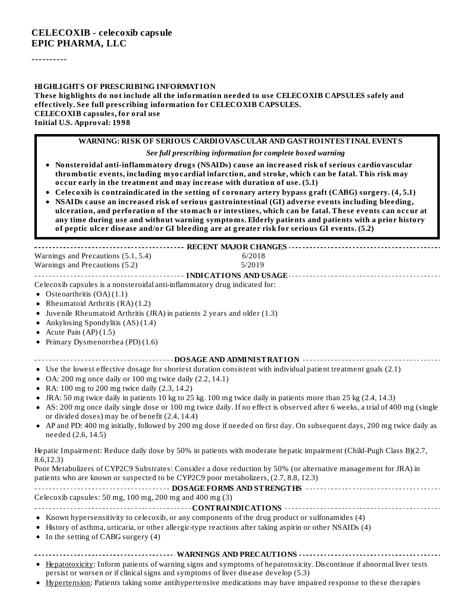----------

#### **HIGHLIGHTS OF PRESCRIBING INFORMATION These highlights do not include all the information needed to use CELECOXIB CAPSULES safely and effectively. See full prescribing information for CELECOXIB CAPSULES. CELECOXIB capsules, for oral use Initial U.S. Approval: 1998**

#### **WARNING: RISK OF SERIOUS CARDIOVASCULAR AND GASTROINTESTINAL EVENTS**

*See full prescribing information for complete boxed warning*

- **Nonsteroidal anti-inflammatory drugs (NSAIDs) cause an increased risk of serious cardiovascular thrombotic events, including myocardial infarction, and stroke, which can be fatal. This risk may occur early in the treatment and may increase with duration of use. (5.1)**
- **Celecoxib is contraindicated in the setting of coronary artery bypass graft (CABG) surgery. (4, 5.1)**
- **NSAIDs cause an increased risk of serious gastrointestinal (GI) adverse events including bleeding, ulceration, and perforation of the stomach or intestines, which can be fatal. These events can occur at any time during use and without warning symptoms. Elderly patients and patients with a prior history of peptic ulcer disease and/or GI bleeding are at greater risk for serious GI events. (5.2)**

| Warnings and Precautions (5.1, 5.4)                                                                                                                                                                                                                                                                                                     | 6/2018                                                                                                                                                                                                                                                   |
|-----------------------------------------------------------------------------------------------------------------------------------------------------------------------------------------------------------------------------------------------------------------------------------------------------------------------------------------|----------------------------------------------------------------------------------------------------------------------------------------------------------------------------------------------------------------------------------------------------------|
| Warnings and Precautions (5.2)                                                                                                                                                                                                                                                                                                          | 5/2019                                                                                                                                                                                                                                                   |
|                                                                                                                                                                                                                                                                                                                                         |                                                                                                                                                                                                                                                          |
| Celecoxib capsules is a nonsteroidal anti-inflammatory drug indicated for:<br>• Osteoarthritis $(OA)(1.1)$<br>• Rheumatoid Arthritis $(RA)(1.2)$<br>• Juvenile Rheumatoid Arthritis (JRA) in patients 2 years and older (1.3)<br>• Ankylosing Spondylitis $(AS)(1.4)$<br>• Acute Pain $(AP)$ (1.5)<br>• Primary Dysmenorrhea (PD) (1.6) |                                                                                                                                                                                                                                                          |
|                                                                                                                                                                                                                                                                                                                                         |                                                                                                                                                                                                                                                          |
| • OA: 200 mg once daily or 100 mg twice daily (2.2, 14.1)<br>• RA: 100 mg to 200 mg twice daily (2.3, 14.2)                                                                                                                                                                                                                             | • Use the lowest effective dosage for shortest duration consistent with individual patient treatment goals (2.1)<br>• JRA: 50 mg twice daily in patients 10 kg to 25 kg. 100 mg twice daily in patients more than 25 kg (2.4, 14.3)                      |
| or divided doses) may be of benefit (2.4, 14.4)<br>needed (2.6, 14.5)                                                                                                                                                                                                                                                                   | • AS: 200 mg once daily single dose or 100 mg twice daily. If no effect is observed after 6 weeks, a trial of 400 mg (single<br>• AP and PD: 400 mg initially, followed by 200 mg dose if needed on first day. On subsequent days, 200 mg twice daily as |
| 8.6, 12.3)                                                                                                                                                                                                                                                                                                                              | Hepatic Impairment: Reduce daily dose by 50% in patients with moderate hepatic impairment (Child-Pugh Class B)(2.7,                                                                                                                                      |
| patients who are known or suspected to be CYP2C9 poor metabolizers, (2.7, 8.8, 12.3)                                                                                                                                                                                                                                                    | Poor Metabolizers of CYP2C9 Substrates: Consider a dose reduction by 50% (or alternative management for JRA) in                                                                                                                                          |
|                                                                                                                                                                                                                                                                                                                                         |                                                                                                                                                                                                                                                          |
| Celecoxib capsules: 50 mg, 100 mg, 200 mg and 400 mg (3)                                                                                                                                                                                                                                                                                |                                                                                                                                                                                                                                                          |
|                                                                                                                                                                                                                                                                                                                                         |                                                                                                                                                                                                                                                          |
|                                                                                                                                                                                                                                                                                                                                         | • Known hypersensitivity to celecoxib, or any components of the drug product or sulfonamides (4)                                                                                                                                                         |
| • In the setting of CABG surgery $(4)$                                                                                                                                                                                                                                                                                                  | • History of asthma, urticaria, or other allergic-type reactions after taking aspirin or other NSAIDs (4)                                                                                                                                                |
|                                                                                                                                                                                                                                                                                                                                         |                                                                                                                                                                                                                                                          |
| persist or worsen or if clinical signs and symptoms of liver disease develop (5.3)                                                                                                                                                                                                                                                      | • Hepatotoxicity: Inform patients of warning signs and symptoms of hepatotoxicity. Discontinue if abnormal liver tests                                                                                                                                   |

Hypertension: Patients taking some antihypertensive medications may have impaired response to these therapies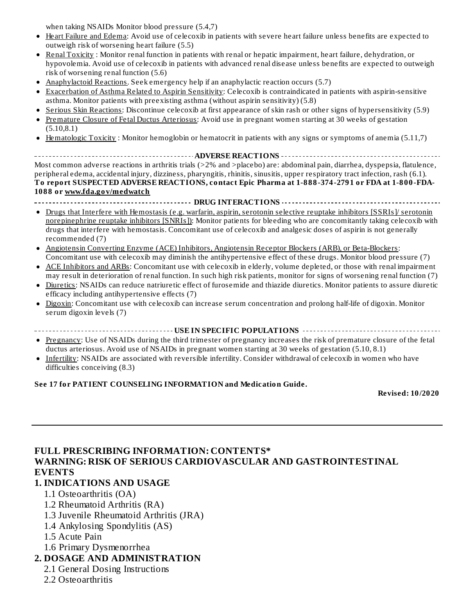when taking NSAIDs Monitor blood pressure (5.4,7)

- Heart Failure and Edema: Avoid use of celecoxib in patients with severe heart failure unless benefits are expected to outweigh risk of worsening heart failure (5.5)
- Renal Toxicity : Monitor renal function in patients with renal or hepatic impairment, heart failure, dehydration, or hypovolemia. Avoid use of celecoxib in patients with advanced renal disease unless benefits are expected to outweigh risk of worsening renal function (5.6)
- Anaphylactoid Reactions. Seek emergency help if an anaphylactic reaction occurs (5.7)
- Exacerbation of Asthma Related to Aspirin Sensitivity: Celecoxib is contraindicated in patients with aspirin-sensitive asthma. Monitor patients with preexisting asthma (without aspirin sensitivity) (5.8)
- Serious Skin Reactions: Discontinue celecoxib at first appearance of skin rash or other signs of hypersensitivity (5.9)
- Premature Closure of Fetal Ductus Arteriosus: Avoid use in pregnant women starting at 30 weeks of gestation  $\bullet$  $(5.10, 8.1)$
- Hematologic Toxicity : Monitor hemoglobin or hematocrit in patients with any signs or symptoms of anemia (5.11,7)  $\bullet$

**ADVERSE REACTIONS** Most common adverse reactions in arthritis trials (>2% and >placebo) are: abdominal pain, diarrhea, dyspepsia, flatulence, peripheral edema, accidental injury, dizziness, pharyngitis, rhinitis, sinusitis, upper respiratory tract infection, rash (6.1). **To report SUSPECTED ADVERSE REACTIONS, contact Epic Pharma at 1-888-374-2791 or FDA at 1-800-FDA-1088 or www.fda.gov/medwatch**

#### **DRUG INTERACTIONS**

- Drugs that Interfere with Hemostasis (e.g. warfarin, aspirin, serotonin selective reuptake inhibitors [SSRIs]/ serotonin norepinephrine reuptake inhibitors [SNRIs]): Monitor patients for bleeding who are concomitantly taking celecoxib with drugs that interfere with hemostasis. Concomitant use of celecoxib and analgesic doses of aspirin is not generally recommended (7)
- Angiotensin Converting Enzyme (ACE) Inhibitors, Angiotensin Receptor Blockers (ARB), or Beta-Blockers: Concomitant use with celecoxib may diminish the antihypertensive effect of these drugs. Monitor blood pressure (7)
- ACE Inhibitors and ARBs: Concomitant use with celecoxib in elderly, volume depleted, or those with renal impairment may result in deterioration of renal function. In such high risk patients, monitor for signs of worsening renal function (7)
- Diuretics: NSAIDs can reduce natriuretic effect of furosemide and thiazide diuretics. Monitor patients to assure diuretic efficacy including antihypertensive effects (7)
- Digoxin: Concomitant use with celecoxib can increase serum concentration and prolong half-life of digoxin. Monitor  $\bullet$ serum digoxin levels (7)

#### **USE IN SPECIFIC POPULATIONS**

- Pregnancy: Use of NSAIDs during the third trimester of pregnancy increases the risk of premature closure of the fetal ductus arteriosus. Avoid use of NSAIDs in pregnant women starting at 30 weeks of gestation (5.10, 8.1)
- Infertility: NSAIDs are associated with reversible infertility. Consider withdrawal of celecoxib in women who have difficulties conceiving (8.3)

#### **See 17 for PATIENT COUNSELING INFORMATION and Medication Guide.**

**Revised: 10/2020**

#### **FULL PRESCRIBING INFORMATION: CONTENTS\* WARNING: RISK OF SERIOUS CARDIOVASCULAR AND GASTROINTESTINAL EVENTS**

#### **1. INDICATIONS AND USAGE**

- 1.1 Osteoarthritis (OA)
- 1.2 Rheumatoid Arthritis (RA)
- 1.3 Juvenile Rheumatoid Arthritis (JRA)
- 1.4 Ankylosing Spondylitis (AS)
- 1.5 Acute Pain
- 1.6 Primary Dysmenorrhea

#### **2. DOSAGE AND ADMINISTRATION**

- 2.1 General Dosing Instructions
- 2.2 Osteoarthritis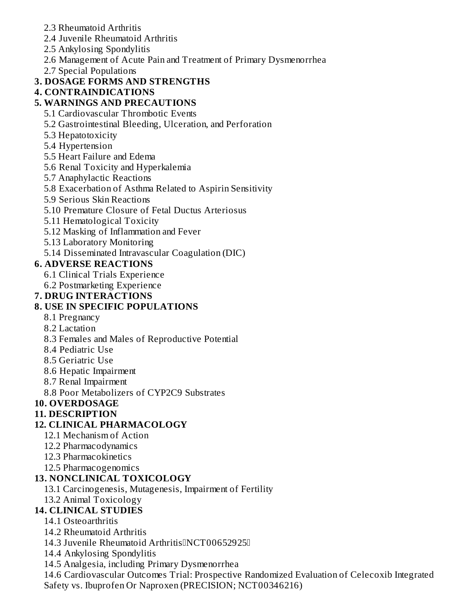- 2.3 Rheumatoid Arthritis
- 2.4 Juvenile Rheumatoid Arthritis
- 2.5 Ankylosing Spondylitis
- 2.6 Management of Acute Pain and Treatment of Primary Dysmenorrhea
- 2.7 Special Populations

# **3. DOSAGE FORMS AND STRENGTHS**

# **4. CONTRAINDICATIONS**

# **5. WARNINGS AND PRECAUTIONS**

- 5.1 Cardiovascular Thrombotic Events
- 5.2 Gastrointestinal Bleeding, Ulceration, and Perforation
- 5.3 Hepatotoxicity
- 5.4 Hypertension
- 5.5 Heart Failure and Edema
- 5.6 Renal Toxicity and Hyperkalemia
- 5.7 Anaphylactic Reactions
- 5.8 Exacerbation of Asthma Related to Aspirin Sensitivity
- 5.9 Serious Skin Reactions
- 5.10 Premature Closure of Fetal Ductus Arteriosus
- 5.11 Hematological Toxicity
- 5.12 Masking of Inflammation and Fever
- 5.13 Laboratory Monitoring
- 5.14 Disseminated Intravascular Coagulation (DIC)

#### **6. ADVERSE REACTIONS**

- 6.1 Clinical Trials Experience
- 6.2 Postmarketing Experience

# **7. DRUG INTERACTIONS**

# **8. USE IN SPECIFIC POPULATIONS**

- 8.1 Pregnancy
- 8.2 Lactation
- 8.3 Females and Males of Reproductive Potential
- 8.4 Pediatric Use
- 8.5 Geriatric Use
- 8.6 Hepatic Impairment
- 8.7 Renal Impairment
- 8.8 Poor Metabolizers of CYP2C9 Substrates

# **10. OVERDOSAGE**

# **11. DESCRIPTION**

# **12. CLINICAL PHARMACOLOGY**

- 12.1 Mechanism of Action
- 12.2 Pharmacodynamics
- 12.3 Pharmacokinetics
- 12.5 Pharmacogenomics

# **13. NONCLINICAL TOXICOLOGY**

13.1 Carcinogenesis, Mutagenesis, Impairment of Fertility

# 13.2 Animal Toxicology

**14. CLINICAL STUDIES**

#### 14.1 Osteoarthritis

- 14.2 Rheumatoid Arthritis
- 14.3 Juvenile Rheumatoid Arthritis NCT006529250
- 14.4 Ankylosing Spondylitis
- 14.5 Analgesia, including Primary Dysmenorrhea

14.6 Cardiovascular Outcomes Trial: Prospective Randomized Evaluation of Celecoxib Integrated Safety vs. Ibuprofen Or Naproxen (PRECISION; NCT00346216)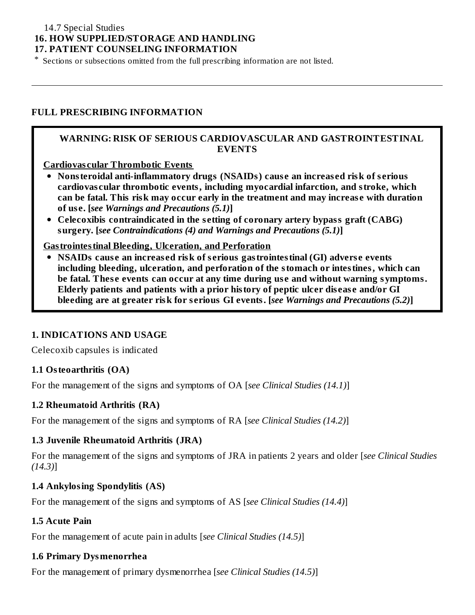#### 14.7 Special Studies **16. HOW SUPPLIED/STORAGE AND HANDLING 17. PATIENT COUNSELING INFORMATION**

\* Sections or subsections omitted from the full prescribing information are not listed.

#### **FULL PRESCRIBING INFORMATION**

#### **WARNING: RISK OF SERIOUS CARDIOVASCULAR AND GASTROINTESTINAL EVENTS**

**Cardiovas cular Thrombotic Events**

- **Nonsteroidal anti-inflammatory drugs (NSAIDs) caus e an increas ed risk of s erious cardiovas cular thrombotic events, including myocardial infarction, and stroke, which can be fatal. This risk may occur early in the treatment and may increas e with duration of us e. [***see Warnings and Precautions (5.1)***]**
- **Celecoxibis contraindicated in the s etting of coronary artery bypass graft (CABG) surgery. [***see Contraindications (4) and Warnings and Precautions (5.1)***]**

**Gastrointestinal Bleeding, Ulceration, and Perforation**

**NSAIDs caus e an increas ed risk of s erious gastrointestinal (GI) advers e events including bleeding, ulceration, and perforation of the stomach or intestines, which can be fatal. Thes e events can occur at any time during us e and without warning symptoms. Elderly patients and patients with a prior history of peptic ulcer dis eas e and/or GI bleeding are at greater risk for s erious GI events. [***see Warnings and Precautions (5.2)***]**

#### **1. INDICATIONS AND USAGE**

Celecoxib capsules is indicated

#### **1.1 Osteoarthritis (OA)**

For the management of the signs and symptoms of OA [*see Clinical Studies (14.1)*]

#### **1.2 Rheumatoid Arthritis (RA)**

For the management of the signs and symptoms of RA [*see Clinical Studies (14.2)*]

#### **1.3 Juvenile Rheumatoid Arthritis (JRA)**

For the management of the signs and symptoms of JRA in patients 2 years and older [*see Clinical Studies (14.3)*]

#### **1.4 Ankylosing Spondylitis (AS)**

For the management of the signs and symptoms of AS [*see Clinical Studies (14.4)*]

#### **1.5 Acute Pain**

For the management of acute pain in adults [*see Clinical Studies (14.5)*]

#### **1.6 Primary Dysmenorrhea**

For the management of primary dysmenorrhea [*see Clinical Studies (14.5)*]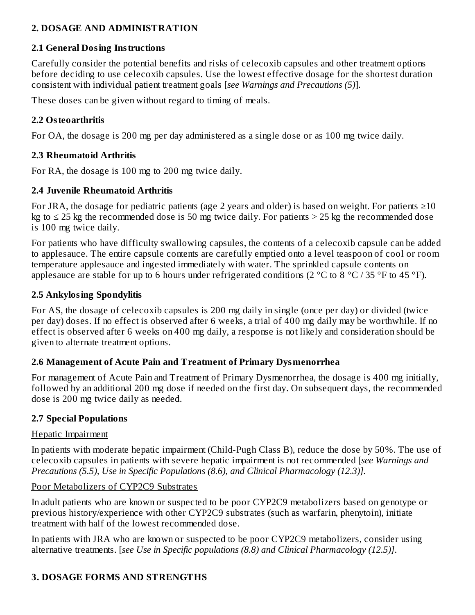#### **2. DOSAGE AND ADMINISTRATION**

#### **2.1 General Dosing Instructions**

Carefully consider the potential benefits and risks of celecoxib capsules and other treatment options before deciding to use celecoxib capsules. Use the lowest effective dosage for the shortest duration consistent with individual patient treatment goals [*see Warnings and Precautions (5)*].

These doses can be given without regard to timing of meals.

#### **2.2 Osteoarthritis**

For OA, the dosage is 200 mg per day administered as a single dose or as 100 mg twice daily.

#### **2.3 Rheumatoid Arthritis**

For RA, the dosage is 100 mg to 200 mg twice daily.

#### **2.4 Juvenile Rheumatoid Arthritis**

For JRA, the dosage for pediatric patients (age 2 years and older) is based on weight. For patients  $\geq 10$ kg to  $\leq$  25 kg the recommended dose is 50 mg twice daily. For patients  $>$  25 kg the recommended dose is 100 mg twice daily.

For patients who have difficulty swallowing capsules, the contents of a celecoxib capsule can be added to applesauce. The entire capsule contents are carefully emptied onto a level teaspoon of cool or room temperature applesauce and ingested immediately with water. The sprinkled capsule contents on applesauce are stable for up to 6 hours under refrigerated conditions (2 °C to 8 °C / 35 °F to 45 °F).

#### **2.5 Ankylosing Spondylitis**

For AS, the dosage of celecoxib capsules is 200 mg daily in single (once per day) or divided (twice per day) doses. If no effect is observed after 6 weeks, a trial of 400 mg daily may be worthwhile. If no effect is observed after 6 weeks on 400 mg daily, a response is not likely and consideration should be given to alternate treatment options.

#### **2.6 Management of Acute Pain and Treatment of Primary Dysmenorrhea**

For management of Acute Pain and Treatment of Primary Dysmenorrhea, the dosage is 400 mg initially, followed by an additional 200 mg dose if needed on the first day. On subsequent days, the recommended dose is 200 mg twice daily as needed.

#### **2.7 Special Populations**

#### Hepatic Impairment

In patients with moderate hepatic impairment (Child-Pugh Class B), reduce the dose by 50%. The use of celecoxib capsules in patients with severe hepatic impairment is not recommended [*see Warnings and Precautions (5.5), Use in Specific Populations (8.6), and Clinical Pharmacology (12.3)].*

#### Poor Metabolizers of CYP2C9 Substrates

In adult patients who are known or suspected to be poor CYP2C9 metabolizers based on genotype or previous history/experience with other CYP2C9 substrates (such as warfarin, phenytoin), initiate treatment with half of the lowest recommended dose.

In patients with JRA who are known or suspected to be poor CYP2C9 metabolizers, consider using alternative treatments. [*see Use in Specific populations (8.8) and Clinical Pharmacology (12.5)]*.

#### **3. DOSAGE FORMS AND STRENGTHS**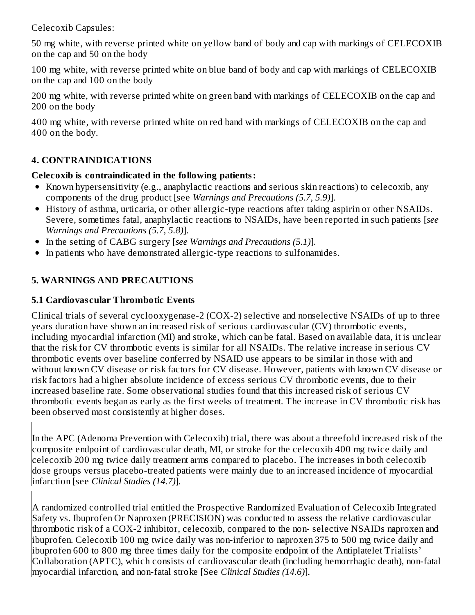Celecoxib Capsules:

50 mg white, with reverse printed white on yellow band of body and cap with markings of CELECOXIB on the cap and 50 on the body

100 mg white, with reverse printed white on blue band of body and cap with markings of CELECOXIB on the cap and 100 on the body

200 mg white, with reverse printed white on green band with markings of CELECOXIB on the cap and 200 on the body

400 mg white, with reverse printed white on red band with markings of CELECOXIB on the cap and 400 on the body.

# **4. CONTRAINDICATIONS**

#### **Celecoxib is contraindicated in the following patients:**

- Known hypersensitivity (e.g., anaphylactic reactions and serious skin reactions) to celecoxib, any components of the drug product [see *Warnings and Precautions (5.7, 5.9)*].
- History of asthma, urticaria, or other allergic-type reactions after taking aspirin or other NSAIDs. Severe, sometimes fatal, anaphylactic reactions to NSAIDs, have been reported in such patients [*see Warnings and Precautions (5.7, 5.8)*].
- In the setting of CABG surgery [*see Warnings and Precautions (5.1)*].
- In patients who have demonstrated allergic-type reactions to sulfonamides.

# **5. WARNINGS AND PRECAUTIONS**

#### **5.1 Cardiovas cular Thrombotic Events**

Clinical trials of several cyclooxygenase-2 (COX-2) selective and nonselective NSAIDs of up to three years duration have shown an increased risk of serious cardiovascular (CV) thrombotic events, including myocardial infarction (MI) and stroke, which can be fatal. Based on available data, it is unclear that the risk for CV thrombotic events is similar for all NSAIDs. The relative increase in serious CV thrombotic events over baseline conferred by NSAID use appears to be similar in those with and without known CV disease or risk factors for CV disease. However, patients with known CV disease or risk factors had a higher absolute incidence of excess serious CV thrombotic events, due to their increased baseline rate. Some observational studies found that this increased risk of serious CV thrombotic events began as early as the first weeks of treatment. The increase in CV thrombotic risk has been observed most consistently at higher doses.

In the APC (Adenoma Prevention with Celecoxib) trial, there was about a threefold increased risk of the composite endpoint of cardiovascular death, MI, or stroke for the celecoxib 400 mg twice daily and celecoxib 200 mg twice daily treatment arms compared to placebo. The increases in both celecoxib dose groups versus placebo-treated patients were mainly due to an increased incidence of myocardial infarction [see *Clinical Studies (14.7)*].

A randomized controlled trial entitled the Prospective Randomized Evaluation of Celecoxib Integrated Safety vs. Ibuprofen Or Naproxen (PRECISION) was conducted to assess the relative cardiovascular thrombotic risk of a COX-2 inhibitor, celecoxib, compared to the non- selective NSAIDs naproxen and ibuprofen. Celecoxib 100 mg twice daily was non-inferior to naproxen 375 to 500 mg twice daily and ibuprofen 600 to 800 mg three times daily for the composite endpoint of the Antiplatelet Trialists' Collaboration (APTC), which consists of cardiovascular death (including hemorrhagic death), non-fatal myocardial infarction, and non-fatal stroke [See *Clinical Studies (14.6)*].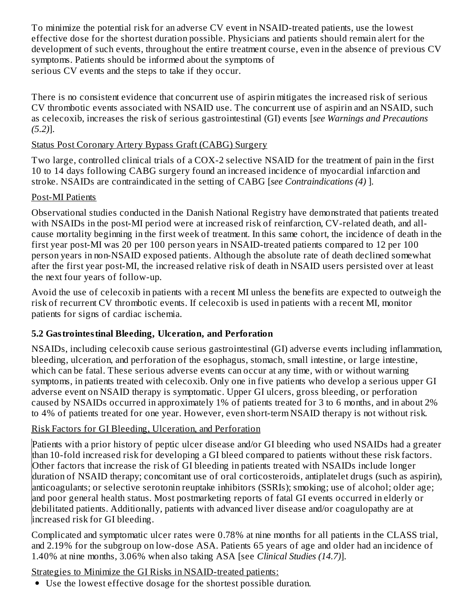To minimize the potential risk for an adverse CV event in NSAID-treated patients, use the lowest effective dose for the shortest duration possible. Physicians and patients should remain alert for the development of such events, throughout the entire treatment course, even in the absence of previous CV symptoms. Patients should be informed about the symptoms of serious CV events and the steps to take if they occur.

There is no consistent evidence that concurrent use of aspirin mitigates the increased risk of serious CV thrombotic events associated with NSAID use. The concurrent use of aspirin and an NSAID, such as celecoxib, increases the risk of serious gastrointestinal (GI) events [*see Warnings and Precautions (5.2)*].

#### Status Post Coronary Artery Bypass Graft (CABG) Surgery

Two large, controlled clinical trials of a COX-2 selective NSAID for the treatment of pain in the first 10 to 14 days following CABG surgery found an increased incidence of myocardial infarction and stroke. NSAIDs are contraindicated in the setting of CABG [*see Contraindications (4)* ].

#### Post-MI Patients

Observational studies conducted in the Danish National Registry have demonstrated that patients treated with NSAIDs in the post-MI period were at increased risk of reinfarction, CV-related death, and allcause mortality beginning in the first week of treatment. In this same cohort, the incidence of death in the first year post-MI was 20 per 100 person years in NSAID-treated patients compared to 12 per 100 person years in non-NSAID exposed patients. Although the absolute rate of death declined somewhat after the first year post-MI, the increased relative risk of death in NSAID users persisted over at least the next four years of follow-up.

Avoid the use of celecoxib in patients with a recent MI unless the benefits are expected to outweigh the risk of recurrent CV thrombotic events. If celecoxib is used in patients with a recent MI, monitor patients for signs of cardiac ischemia.

# **5.2 Gastrointestinal Bleeding, Ulceration, and Perforation**

NSAIDs, including celecoxib cause serious gastrointestinal (GI) adverse events including inflammation, bleeding, ulceration, and perforation of the esophagus, stomach, small intestine, or large intestine, which can be fatal. These serious adverse events can occur at any time, with or without warning symptoms, in patients treated with celecoxib. Only one in five patients who develop a serious upper GI adverse event on NSAID therapy is symptomatic. Upper GI ulcers, gross bleeding, or perforation caused by NSAIDs occurred in approximately 1% of patients treated for 3 to 6 months, and in about 2% to 4% of patients treated for one year. However, even short-term NSAID therapy is not without risk.

# Risk Factors for GI Bleeding, Ulceration, and Perforation

Patients with a prior history of peptic ulcer disease and/or GI bleeding who used NSAIDs had a greater than 10-fold increased risk for developing a GI bleed compared to patients without these risk factors. Other factors that increase the risk of GI bleeding in patients treated with NSAIDs include longer duration of NSAID therapy; concomitant use of oral corticosteroids, antiplatelet drugs (such as aspirin), anticoagulants; or selective serotonin reuptake inhibitors (SSRIs); smoking; use of alcohol; older age; and poor general health status. Most postmarketing reports of fatal GI events occurred in elderly or debilitated patients. Additionally, patients with advanced liver disease and/or coagulopathy are at increased risk for GI bleeding.

Complicated and symptomatic ulcer rates were 0.78% at nine months for all patients in the CLASS trial, and 2.19% for the subgroup on low-dose ASA. Patients 65 years of age and older had an incidence of 1.40% at nine months, 3.06% when also taking ASA [see *Clinical Studies (14.7)*].

# Strategies to Minimize the GI Risks in NSAID-treated patients:

Use the lowest effective dosage for the shortest possible duration.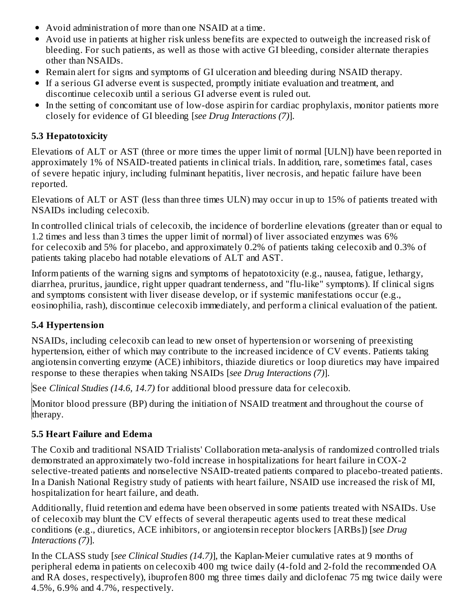- Avoid administration of more than one NSAID at a time.
- Avoid use in patients at higher risk unless benefits are expected to outweigh the increased risk of bleeding. For such patients, as well as those with active GI bleeding, consider alternate therapies other than NSAIDs.
- Remain alert for signs and symptoms of GI ulceration and bleeding during NSAID therapy.
- If a serious GI adverse event is suspected, promptly initiate evaluation and treatment, and discontinue celecoxib until a serious GI adverse event is ruled out.
- In the setting of concomitant use of low-dose aspirin for cardiac prophylaxis, monitor patients more closely for evidence of GI bleeding [*see Drug Interactions (7)*].

# **5.3 Hepatotoxicity**

Elevations of ALT or AST (three or more times the upper limit of normal [ULN]) have been reported in approximately 1% of NSAID-treated patients in clinical trials. In addition, rare, sometimes fatal, cases of severe hepatic injury, including fulminant hepatitis, liver necrosis, and hepatic failure have been reported.

Elevations of ALT or AST (less than three times ULN) may occur in up to 15% of patients treated with NSAIDs including celecoxib.

In controlled clinical trials of celecoxib, the incidence of borderline elevations (greater than or equal to 1.2 times and less than 3 times the upper limit of normal) of liver associated enzymes was 6% for celecoxib and 5% for placebo, and approximately 0.2% of patients taking celecoxib and 0.3% of patients taking placebo had notable elevations of ALT and AST.

Inform patients of the warning signs and symptoms of hepatotoxicity (e.g., nausea, fatigue, lethargy, diarrhea, pruritus, jaundice, right upper quadrant tenderness, and "flu-like" symptoms). If clinical signs and symptoms consistent with liver disease develop, or if systemic manifestations occur (e.g., eosinophilia, rash), discontinue celecoxib immediately, and perform a clinical evaluation of the patient.

# **5.4 Hypertension**

NSAIDs, including celecoxib can lead to new onset of hypertension or worsening of preexisting hypertension, either of which may contribute to the increased incidence of CV events. Patients taking angiotensin converting enzyme (ACE) inhibitors, thiazide diuretics or loop diuretics may have impaired response to these therapies when taking NSAIDs [*see Drug Interactions (7)*].

See *Clinical Studies (14.6, 14.7)* for additional blood pressure data for celecoxib.

Monitor blood pressure (BP) during the initiation of NSAID treatment and throughout the course of therapy.

# **5.5 Heart Failure and Edema**

The Coxib and traditional NSAID Trialists' Collaboration meta-analysis of randomized controlled trials demonstrated an approximately two-fold increase in hospitalizations for heart failure in COX-2 selective-treated patients and nonselective NSAID-treated patients compared to placebo-treated patients. In a Danish National Registry study of patients with heart failure, NSAID use increased the risk of MI, hospitalization for heart failure, and death.

Additionally, fluid retention and edema have been observed in some patients treated with NSAIDs. Use of celecoxib may blunt the CV effects of several therapeutic agents used to treat these medical conditions (e.g., diuretics, ACE inhibitors, or angiotensin receptor blockers [ARBs]) [*see Drug Interactions (7)*].

In the CLASS study [*see Clinical Studies (14.7)*], the Kaplan-Meier cumulative rates at 9 months of peripheral edema in patients on celecoxib 400 mg twice daily (4-fold and 2-fold the recommended OA and RA doses, respectively), ibuprofen 800 mg three times daily and diclofenac 75 mg twice daily were 4.5%, 6.9% and 4.7%, respectively.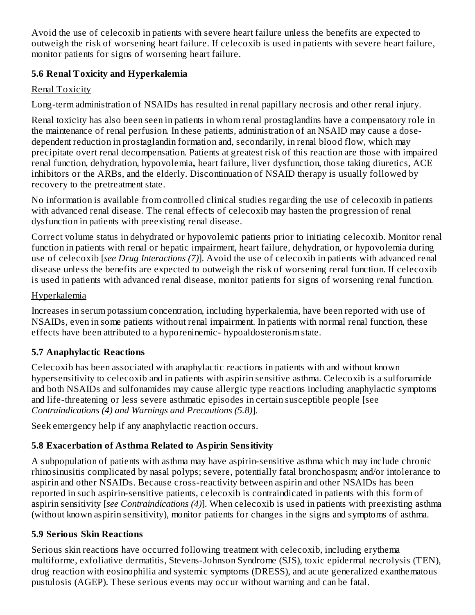Avoid the use of celecoxib in patients with severe heart failure unless the benefits are expected to outweigh the risk of worsening heart failure. If celecoxib is used in patients with severe heart failure, monitor patients for signs of worsening heart failure.

# **5.6 Renal Toxicity and Hyperkalemia**

# Renal Toxicity

Long-term administration of NSAIDs has resulted in renal papillary necrosis and other renal injury.

Renal toxicity has also been seen in patients in whom renal prostaglandins have a compensatory role in the maintenance of renal perfusion. In these patients, administration of an NSAID may cause a dosedependent reduction in prostaglandin formation and, secondarily, in renal blood flow, which may precipitate overt renal decompensation. Patients at greatest risk of this reaction are those with impaired renal function, dehydration, hypovolemia**,** heart failure, liver dysfunction, those taking diuretics, ACE inhibitors or the ARBs, and the elderly. Discontinuation of NSAID therapy is usually followed by recovery to the pretreatment state.

No information is available from controlled clinical studies regarding the use of celecoxib in patients with advanced renal disease. The renal effects of celecoxib may hasten the progression of renal dysfunction in patients with preexisting renal disease.

Correct volume status in dehydrated or hypovolemic patients prior to initiating celecoxib. Monitor renal function in patients with renal or hepatic impairment, heart failure, dehydration, or hypovolemia during use of celecoxib [*see Drug Interactions (7)*]. Avoid the use of celecoxib in patients with advanced renal disease unless the benefits are expected to outweigh the risk of worsening renal function. If celecoxib is used in patients with advanced renal disease, monitor patients for signs of worsening renal function.

# Hyperkalemia

Increases in serum potassium concentration, including hyperkalemia, have been reported with use of NSAIDs, even in some patients without renal impairment. In patients with normal renal function, these effects have been attributed to a hyporeninemic- hypoaldosteronism state.

# **5.7 Anaphylactic Reactions**

Celecoxib has been associated with anaphylactic reactions in patients with and without known hypersensitivity to celecoxib and in patients with aspirin sensitive asthma. Celecoxib is a sulfonamide and both NSAIDs and sulfonamides may cause allergic type reactions including anaphylactic symptoms and life-threatening or less severe asthmatic episodes in certain susceptible people [see *Contraindications (4) and Warnings and Precautions (5.8)*].

Seek emergency help if any anaphylactic reaction occurs.

# **5.8 Exacerbation of Asthma Related to Aspirin Sensitivity**

A subpopulation of patients with asthma may have aspirin-sensitive asthma which may include chronic rhinosinusitis complicated by nasal polyps; severe, potentially fatal bronchospasm; and/or intolerance to aspirin and other NSAIDs. Because cross-reactivity between aspirin and other NSAIDs has been reported in such aspirin-sensitive patients, celecoxib is contraindicated in patients with this form of aspirin sensitivity [*see Contraindications (4)*]. When celecoxib is used in patients with preexisting asthma (without known aspirin sensitivity), monitor patients for changes in the signs and symptoms of asthma.

# **5.9 Serious Skin Reactions**

Serious skin reactions have occurred following treatment with celecoxib, including erythema multiforme, exfoliative dermatitis, Stevens-Johnson Syndrome (SJS), toxic epidermal necrolysis (TEN), drug reaction with eosinophilia and systemic symptoms (DRESS), and acute generalized exanthematous pustulosis (AGEP). These serious events may occur without warning and can be fatal.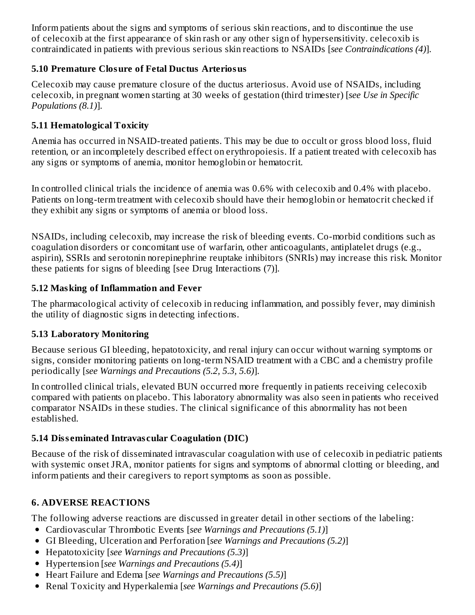Inform patients about the signs and symptoms of serious skin reactions, and to discontinue the use of celecoxib at the first appearance of skin rash or any other sign of hypersensitivity. celecoxib is contraindicated in patients with previous serious skin reactions to NSAIDs [*see Contraindications (4)*].

#### **5.10 Premature Closure of Fetal Ductus Arteriosus**

Celecoxib may cause premature closure of the ductus arteriosus. Avoid use of NSAIDs, including celecoxib, in pregnant women starting at 30 weeks of gestation (third trimester) [*see Use in Specific Populations (8.1)*].

# **5.11 Hematological Toxicity**

Anemia has occurred in NSAID-treated patients. This may be due to occult or gross blood loss, fluid retention, or an incompletely described effect on erythropoiesis. If a patient treated with celecoxib has any signs or symptoms of anemia, monitor hemoglobin or hematocrit.

In controlled clinical trials the incidence of anemia was 0.6% with celecoxib and 0.4% with placebo. Patients on long-term treatment with celecoxib should have their hemoglobin or hematocrit checked if they exhibit any signs or symptoms of anemia or blood loss.

NSAIDs, including celecoxib, may increase the risk of bleeding events. Co-morbid conditions such as coagulation disorders or concomitant use of warfarin, other anticoagulants, antiplatelet drugs (e.g., aspirin), SSRIs and serotonin norepinephrine reuptake inhibitors (SNRIs) may increase this risk. Monitor these patients for signs of bleeding [see Drug Interactions (7)].

#### **5.12 Masking of Inflammation and Fever**

The pharmacological activity of celecoxib in reducing inflammation, and possibly fever, may diminish the utility of diagnostic signs in detecting infections.

# **5.13 Laboratory Monitoring**

Because serious GI bleeding, hepatotoxicity, and renal injury can occur without warning symptoms or signs, consider monitoring patients on long-term NSAID treatment with a CBC and a chemistry profile periodically [*see Warnings and Precautions (5.2, 5.3, 5.6)*].

In controlled clinical trials, elevated BUN occurred more frequently in patients receiving celecoxib compared with patients on placebo. This laboratory abnormality was also seen in patients who received comparator NSAIDs in these studies. The clinical significance of this abnormality has not been established.

# **5.14 Diss eminated Intravas cular Coagulation (DIC)**

Because of the risk of disseminated intravascular coagulation with use of celecoxib in pediatric patients with systemic onset JRA, monitor patients for signs and symptoms of abnormal clotting or bleeding, and inform patients and their caregivers to report symptoms as soon as possible.

# **6. ADVERSE REACTIONS**

The following adverse reactions are discussed in greater detail in other sections of the labeling:

- Cardiovascular Thrombotic Events [*see Warnings and Precautions (5.1)*]
- GI Bleeding, Ulceration and Perforation [*see Warnings and Precautions (5.2)*]
- Hepatotoxicity [*see Warnings and Precautions (5.3)*]
- Hypertension [*see Warnings and Precautions (5.4)*]
- Heart Failure and Edema [*see Warnings and Precautions (5.5)*]
- Renal Toxicity and Hyperkalemia [*see Warnings and Precautions (5.6)*]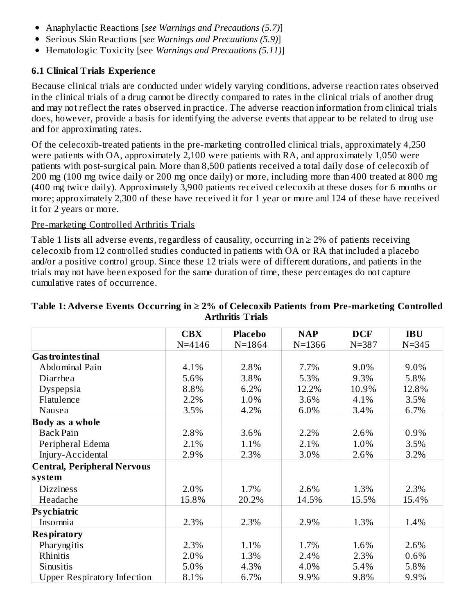- Anaphylactic Reactions [*see Warnings and Precautions (5.7)*]
- Serious Skin Reactions [*see Warnings and Precautions (5.9)*]
- Hematologic Toxicity [see *Warnings and Precautions (5.11)*]

#### **6.1 Clinical Trials Experience**

Because clinical trials are conducted under widely varying conditions, adverse reaction rates observed in the clinical trials of a drug cannot be directly compared to rates in the clinical trials of another drug and may not reflect the rates observed in practice. The adverse reaction information from clinical trials does, however, provide a basis for identifying the adverse events that appear to be related to drug use and for approximating rates.

Of the celecoxib-treated patients in the pre-marketing controlled clinical trials, approximately 4,250 were patients with OA, approximately 2,100 were patients with RA, and approximately 1,050 were patients with post-surgical pain. More than 8,500 patients received a total daily dose of celecoxib of 200 mg (100 mg twice daily or 200 mg once daily) or more, including more than 400 treated at 800 mg (400 mg twice daily). Approximately 3,900 patients received celecoxib at these doses for 6 months or more; approximately 2,300 of these have received it for 1 year or more and 124 of these have received it for 2 years or more.

#### Pre-marketing Controlled Arthritis Trials

Table 1 lists all adverse events, regardless of causality, occurring in  $\geq 2\%$  of patients receiving celecoxib from 12 controlled studies conducted in patients with OA or RA that included a placebo and/or a positive control group. Since these 12 trials were of different durations, and patients in the trials may not have been exposed for the same duration of time, these percentages do not capture cumulative rates of occurrence.

|                                    | <b>CBX</b> | <b>Placebo</b> | <b>NAP</b> | <b>DCF</b> | <b>IBU</b> |
|------------------------------------|------------|----------------|------------|------------|------------|
|                                    | $N = 4146$ | $N = 1864$     | $N = 1366$ | $N = 387$  | $N = 345$  |
| <b>Gas trointes tinal</b>          |            |                |            |            |            |
| Abdominal Pain                     | 4.1%       | 2.8%           | 7.7%       | 9.0%       | 9.0%       |
| Diarrhea                           | 5.6%       | 3.8%           | 5.3%       | 9.3%       | 5.8%       |
| Dyspepsia                          | 8.8%       | 6.2%           | 12.2%      | 10.9%      | 12.8%      |
| Flatulence                         | 2.2%       | 1.0%           | 3.6%       | 4.1%       | 3.5%       |
| Nausea                             | 3.5%       | 4.2%           | 6.0%       | 3.4%       | 6.7%       |
| <b>Body as a whole</b>             |            |                |            |            |            |
| <b>Back Pain</b>                   | 2.8%       | 3.6%           | 2.2%       | 2.6%       | 0.9%       |
| Peripheral Edema                   | 2.1%       | 1.1%           | 2.1%       | 1.0%       | 3.5%       |
| Injury-Accidental                  | 2.9%       | 2.3%           | 3.0%       | 2.6%       | 3.2%       |
| <b>Central, Peripheral Nervous</b> |            |                |            |            |            |
| s ys tem                           |            |                |            |            |            |
| <b>Dizziness</b>                   | 2.0%       | 1.7%           | 2.6%       | 1.3%       | 2.3%       |
| Headache                           | 15.8%      | 20.2%          | 14.5%      | 15.5%      | 15.4%      |
| <b>Ps</b> ychiatric                |            |                |            |            |            |
| Insomnia                           | 2.3%       | 2.3%           | 2.9%       | 1.3%       | 1.4%       |
| <b>Respiratory</b>                 |            |                |            |            |            |
| Pharyngitis                        | 2.3%       | 1.1%           | 1.7%       | 1.6%       | 2.6%       |
| Rhinitis                           | 2.0%       | 1.3%           | 2.4%       | 2.3%       | 0.6%       |
| Sinusitis                          | 5.0%       | 4.3%           | 4.0%       | 5.4%       | 5.8%       |
| <b>Upper Respiratory Infection</b> | 8.1%       | 6.7%           | 9.9%       | 9.8%       | 9.9%       |

#### **Table 1: Advers e Events Occurring in ≥ 2% of Celecoxib Patients from Pre-marketing Controlled Arthritis Trials**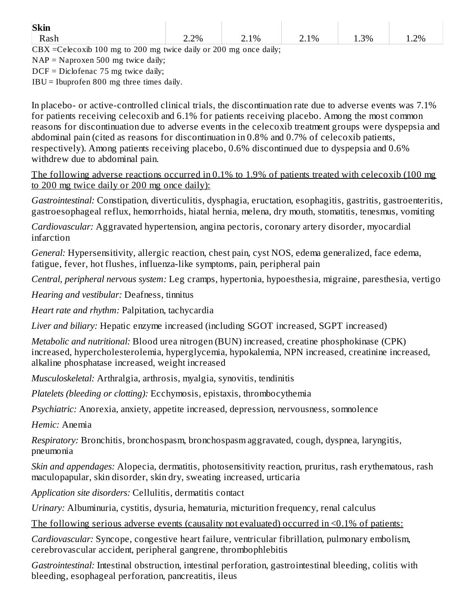| <b>Skin</b>                                                                                                                                                                                                                                                                                                                                                                           |      |         |      |    |      |
|---------------------------------------------------------------------------------------------------------------------------------------------------------------------------------------------------------------------------------------------------------------------------------------------------------------------------------------------------------------------------------------|------|---------|------|----|------|
| Rash                                                                                                                                                                                                                                                                                                                                                                                  | 2.2% | $2.1\%$ | 2.1% | 3% | 1.2% |
| $CRY = C$ $\triangle$ $\triangle$ $\triangle$ $\triangle$ $\triangle$ $\triangle$ $\triangle$ $\triangle$ $\triangle$ $\triangle$ $\triangle$ $\triangle$ $\triangle$ $\triangle$ $\triangle$ $\triangle$ $\triangle$ $\triangle$ $\triangle$ $\triangle$ $\triangle$ $\triangle$ $\triangle$ $\triangle$ $\triangle$ $\triangle$ $\triangle$ $\triangle$ $\triangle$ $\triangle$ $\$ |      |         |      |    |      |

CBX =Celecoxib 100 mg to 200 mg twice daily or 200 mg once daily;

NAP = Naproxen 500 mg twice daily;

DCF = Diclofenac 75 mg twice daily;

IBU = Ibuprofen 800 mg three times daily.

In placebo- or active-controlled clinical trials, the discontinuation rate due to adverse events was 7.1% for patients receiving celecoxib and 6.1% for patients receiving placebo. Among the most common reasons for discontinuation due to adverse events in the celecoxib treatment groups were dyspepsia and abdominal pain (cited as reasons for discontinuation in 0.8% and 0.7% of celecoxib patients, respectively). Among patients receiving placebo, 0.6% discontinued due to dyspepsia and 0.6% withdrew due to abdominal pain.

The following adverse reactions occurred in 0.1% to 1.9% of patients treated with celecoxib (100 mg to 200 mg twice daily or 200 mg once daily):

*Gastrointestinal:* Constipation, diverticulitis, dysphagia, eructation, esophagitis, gastritis, gastroenteritis, gastroesophageal reflux, hemorrhoids, hiatal hernia, melena, dry mouth, stomatitis, tenesmus, vomiting

*Cardiovascular:* Aggravated hypertension, angina pectoris, coronary artery disorder, myocardial infarction

*General:* Hypersensitivity, allergic reaction, chest pain, cyst NOS, edema generalized, face edema, fatigue, fever, hot flushes, influenza-like symptoms, pain, peripheral pain

*Central, peripheral nervous system:* Leg cramps, hypertonia, hypoesthesia, migraine, paresthesia, vertigo

*Hearing and vestibular:* Deafness, tinnitus

*Heart rate and rhythm:* Palpitation, tachycardia

*Liver and biliary:* Hepatic enzyme increased (including SGOT increased, SGPT increased)

*Metabolic and nutritional:* Blood urea nitrogen (BUN) increased, creatine phosphokinase (CPK) increased, hypercholesterolemia, hyperglycemia, hypokalemia, NPN increased, creatinine increased, alkaline phosphatase increased, weight increased

*Musculoskeletal:* Arthralgia, arthrosis, myalgia, synovitis, tendinitis

*Platelets (bleeding or clotting):* Ecchymosis, epistaxis, thrombocythemia

*Psychiatric:* Anorexia, anxiety, appetite increased, depression, nervousness, somnolence

*Hemic:* Anemia

*Respiratory:* Bronchitis, bronchospasm, bronchospasm aggravated, cough, dyspnea, laryngitis, pneumonia

*Skin and appendages:* Alopecia, dermatitis, photosensitivity reaction, pruritus, rash erythematous, rash maculopapular, skin disorder, skin dry, sweating increased, urticaria

*Application site disorders:* Cellulitis, dermatitis contact

*Urinary:* Albuminuria, cystitis, dysuria, hematuria, micturition frequency, renal calculus

The following serious adverse events (causality not evaluated) occurred in <0.1% of patients:

*Cardiovascular:* Syncope, congestive heart failure, ventricular fibrillation, pulmonary embolism, cerebrovascular accident, peripheral gangrene, thrombophlebitis

*Gastrointestinal:* Intestinal obstruction, intestinal perforation, gastrointestinal bleeding, colitis with bleeding, esophageal perforation, pancreatitis, ileus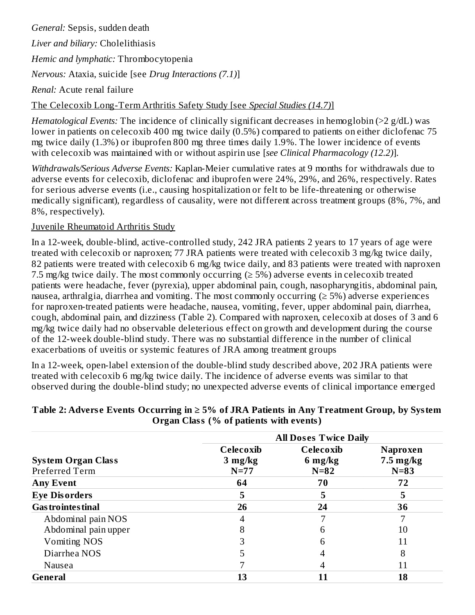*General:* Sepsis, sudden death *Liver and biliary:* Cholelithiasis *Hemic and lymphatic:* Thrombocytopenia *Nervous:* Ataxia, suicide [see *Drug Interactions (7.1)*] *Renal:* Acute renal failure The Celecoxib Long-Term Arthritis Safety Study [see *Special Studies (14.7)*]

*Hematological Events:* The incidence of clinically significant decreases in hemoglobin (>2 g/dL) was lower in patients on celecoxib 400 mg twice daily (0.5%) compared to patients on either diclofenac 75 mg twice daily (1.3%) or ibuprofen 800 mg three times daily 1.9%. The lower incidence of events with celecoxib was maintained with or without aspirin use [*see Clinical Pharmacology (12.2)*].

*Withdrawals/Serious Adverse Events:* Kaplan-Meier cumulative rates at 9 months for withdrawals due to adverse events for celecoxib, diclofenac and ibuprofen were 24%, 29%, and 26%, respectively. Rates for serious adverse events (i.e., causing hospitalization or felt to be life-threatening or otherwise medically significant), regardless of causality, were not different across treatment groups (8%, 7%, and 8%, respectively).

#### Juvenile Rheumatoid Arthritis Study

In a 12-week, double-blind, active-controlled study, 242 JRA patients 2 years to 17 years of age were treated with celecoxib or naproxen; 77 JRA patients were treated with celecoxib 3 mg/kg twice daily, 82 patients were treated with celecoxib 6 mg/kg twice daily, and 83 patients were treated with naproxen 7.5 mg/kg twice daily. The most commonly occurring ( $\geq$  5%) adverse events in celecoxib treated patients were headache, fever (pyrexia), upper abdominal pain, cough, nasopharyngitis, abdominal pain, nausea, arthralgia, diarrhea and vomiting. The most commonly occurring  $(≥ 5%)$  adverse experiences for naproxen-treated patients were headache, nausea, vomiting, fever, upper abdominal pain, diarrhea, cough, abdominal pain, and dizziness (Table 2). Compared with naproxen, celecoxib at doses of 3 and 6 mg/kg twice daily had no observable deleterious effect on growth and development during the course of the 12-week double-blind study. There was no substantial difference in the number of clinical exacerbations of uveitis or systemic features of JRA among treatment groups

In a 12-week, open-label extension of the double-blind study described above, 202 JRA patients were treated with celecoxib 6 mg/kg twice daily. The incidence of adverse events was similar to that observed during the double-blind study; no unexpected adverse events of clinical importance emerged

|                           | <b>All Doses Twice Daily</b> |                   |                     |  |
|---------------------------|------------------------------|-------------------|---------------------|--|
|                           | Celecoxib                    | <b>Celecoxib</b>  | Naproxen            |  |
| <b>System Organ Class</b> | $3 \text{ mg/kg}$            | $6 \text{ mg/kg}$ | $7.5 \text{ mg/kg}$ |  |
| Preferred Term            | $N=77$                       | $N=82$            | $N=83$              |  |
| <b>Any Event</b>          | 64                           | 70                | 72                  |  |
| <b>Eye Disorders</b>      | 5                            | 5                 | 5                   |  |
| <b>Gastrointestinal</b>   | 26                           | 24                | 36                  |  |
| Abdominal pain NOS        | 4                            |                   | 7                   |  |
| Abdominal pain upper      | 8                            | 6                 | 10                  |  |
| <b>Vomiting NOS</b>       | З                            | 6                 | 11                  |  |
| Diarrhea NOS              |                              |                   | 8                   |  |
| Nausea                    |                              |                   |                     |  |
| General                   | 13                           |                   | 18                  |  |

#### **Table 2: Advers e Events Occurring in ≥ 5% of JRA Patients in Any Treatment Group, by System Organ Class (% of patients with events)**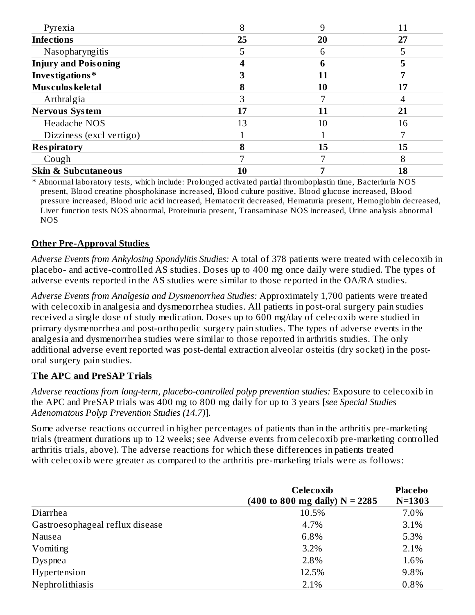| Pyrexia                        |    |    |    |
|--------------------------------|----|----|----|
| <b>Infections</b>              | 25 | 20 | 27 |
| Nasopharyngitis                |    | 6  |    |
| <b>Injury and Poisoning</b>    |    | 6  | 5  |
| Investigations*                |    |    |    |
| Musculos keletal               | 8  | 10 | 17 |
| Arthralgia                     |    |    |    |
| <b>Nervous System</b>          | 17 |    | 21 |
| Headache NOS                   | 13 | 10 | 16 |
| Dizziness (excl vertigo)       |    |    |    |
| <b>Respiratory</b>             | Ω  | 15 | 15 |
| Cough                          |    |    | 8  |
| <b>Skin &amp; Subcutaneous</b> | 10 |    | 18 |

\* Abnormal laboratory tests, which include: Prolonged activated partial thromboplastin time, Bacteriuria NOS present, Blood creatine phosphokinase increased, Blood culture positive, Blood glucose increased, Blood pressure increased, Blood uric acid increased, Hematocrit decreased, Hematuria present, Hemoglobin decreased, Liver function tests NOS abnormal, Proteinuria present, Transaminase NOS increased, Urine analysis abnormal NOS

#### **Other Pre-Approval Studies**

*Adverse Events from Ankylosing Spondylitis Studies:* A total of 378 patients were treated with celecoxib in placebo- and active-controlled AS studies. Doses up to 400 mg once daily were studied. The types of adverse events reported in the AS studies were similar to those reported in the OA/RA studies.

*Adverse Events from Analgesia and Dysmenorrhea Studies:* Approximately 1,700 patients were treated with celecoxib in analgesia and dysmenorrhea studies. All patients in post-oral surgery pain studies received a single dose of study medication. Doses up to 600 mg/day of celecoxib were studied in primary dysmenorrhea and post-orthopedic surgery pain studies. The types of adverse events in the analgesia and dysmenorrhea studies were similar to those reported in arthritis studies. The only additional adverse event reported was post-dental extraction alveolar osteitis (dry socket) in the postoral surgery pain studies.

#### **The APC and PreSAP Trials**

*Adverse reactions from long-term, placebo-controlled polyp prevention studies:* Exposure to celecoxib in the APC and PreSAP trials was 400 mg to 800 mg daily for up to 3 years [*see Special Studies Adenomatous Polyp Prevention Studies (14.7)*].

Some adverse reactions occurred in higher percentages of patients than in the arthritis pre-marketing trials (treatment durations up to 12 weeks; see Adverse events from celecoxib pre-marketing controlled arthritis trials, above). The adverse reactions for which these differences in patients treated with celecoxib were greater as compared to the arthritis pre-marketing trials were as follows:

|                                 | <b>Celecoxib</b><br>(400 to 800 mg daily) $N = 2285$ | <b>Placebo</b><br>$N = 1303$ |
|---------------------------------|------------------------------------------------------|------------------------------|
| Diarrhea                        | 10.5%                                                | 7.0%                         |
| Gastroesophageal reflux disease | 4.7%                                                 | 3.1%                         |
| Nausea                          | 6.8%                                                 | 5.3%                         |
| Vomiting                        | 3.2%                                                 | 2.1%                         |
| Dyspnea                         | 2.8%                                                 | 1.6%                         |
| Hypertension                    | 12.5%                                                | 9.8%                         |
| Nephrolithiasis                 | 2.1%                                                 | 0.8%                         |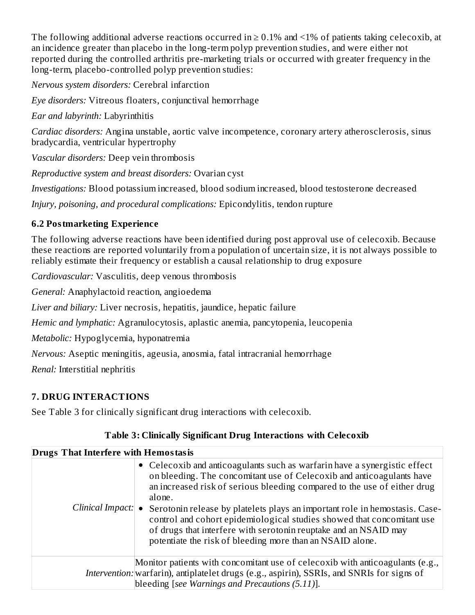The following additional adverse reactions occurred in  $\geq 0.1\%$  and <1% of patients taking celecoxib, at an incidence greater than placebo in the long-term polyp prevention studies, and were either not reported during the controlled arthritis pre-marketing trials or occurred with greater frequency in the long-term, placebo-controlled polyp prevention studies:

*Nervous system disorders:* Cerebral infarction

*Eye disorders:* Vitreous floaters, conjunctival hemorrhage

*Ear and labyrinth:* Labyrinthitis

*Cardiac disorders:* Angina unstable, aortic valve incompetence, coronary artery atherosclerosis, sinus bradycardia, ventricular hypertrophy

*Vascular disorders:* Deep vein thrombosis

*Reproductive system and breast disorders:* Ovarian cyst

*Investigations:* Blood potassium increased, blood sodium increased, blood testosterone decreased

*Injury, poisoning, and procedural complications:* Epicondylitis, tendon rupture

# **6.2 Postmarketing Experience**

The following adverse reactions have been identified during post approval use of celecoxib. Because these reactions are reported voluntarily from a population of uncertain size, it is not always possible to reliably estimate their frequency or establish a causal relationship to drug exposure

*Cardiovascular:* Vasculitis, deep venous thrombosis

*General:* Anaphylactoid reaction, angioedema

*Liver and biliary:* Liver necrosis, hepatitis, jaundice, hepatic failure

*Hemic and lymphatic:* Agranulocytosis, aplastic anemia, pancytopenia, leucopenia

*Metabolic:* Hypoglycemia, hyponatremia

*Nervous:* Aseptic meningitis, ageusia, anosmia, fatal intracranial hemorrhage

*Renal:* Interstitial nephritis

# **7. DRUG INTERACTIONS**

See Table 3 for clinically significant drug interactions with celecoxib.

|                    | <b>Drugs That Interfere with Hemostasis</b>                                                                                                                                                                                                                                                                                                                                                                                                                                                                                        |  |  |  |  |
|--------------------|------------------------------------------------------------------------------------------------------------------------------------------------------------------------------------------------------------------------------------------------------------------------------------------------------------------------------------------------------------------------------------------------------------------------------------------------------------------------------------------------------------------------------------|--|--|--|--|
| Clinical Impact: • | • Celecoxib and anticoagulants such as warfarin have a synergistic effect<br>on bleeding. The concomitant use of Celecoxib and anticoagulants have<br>an increased risk of serious bleeding compared to the use of either drug<br>alone.<br>Serotonin release by platelets plays an important role in hemostasis. Case-<br>control and cohort epidemiological studies showed that concomitant use<br>of drugs that interfere with serotonin reuptake and an NSAID may<br>potentiate the risk of bleeding more than an NSAID alone. |  |  |  |  |
|                    | Monitor patients with concomitant use of celecoxib with anticoagulants (e.g.,<br>Intervention: warfarin), antiplatelet drugs (e.g., aspirin), SSRIs, and SNRIs for signs of                                                                                                                                                                                                                                                                                                                                                        |  |  |  |  |
|                    | bleeding [see Warnings and Precautions (5.11)].                                                                                                                                                                                                                                                                                                                                                                                                                                                                                    |  |  |  |  |

# **Table 3: Clinically Significant Drug Interactions with Celecoxib**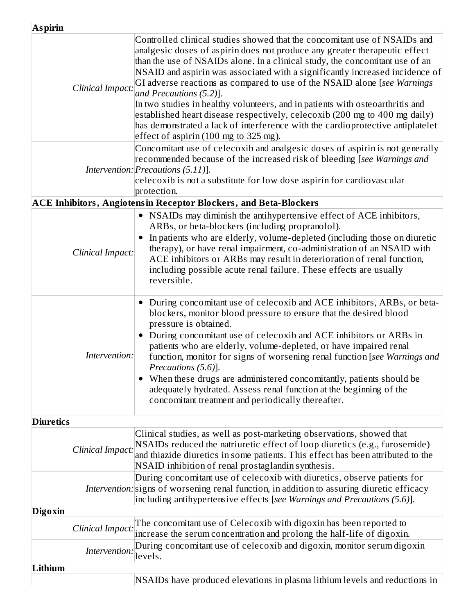| <b>Aspirin</b>          |                                                                                                                                                                                                                                                                                                                                                                                                                                                                                                                                                                                                                                        |
|-------------------------|----------------------------------------------------------------------------------------------------------------------------------------------------------------------------------------------------------------------------------------------------------------------------------------------------------------------------------------------------------------------------------------------------------------------------------------------------------------------------------------------------------------------------------------------------------------------------------------------------------------------------------------|
| <b>Clinical Impact:</b> | Controlled clinical studies showed that the concomitant use of NSAIDs and<br>analgesic doses of aspirin does not produce any greater therapeutic effect<br>than the use of NSAIDs alone. In a clinical study, the concomitant use of an<br>NSAID and aspirin was associated with a significantly increased incidence of<br>GI adverse reactions as compared to use of the NSAID alone [see Warnings<br>and Precautions (5.2)].                                                                                                                                                                                                         |
|                         | In two studies in healthy volunteers, and in patients with osteoarthritis and<br>established heart disease respectively, celecoxib (200 mg to 400 mg daily)<br>has demonstrated a lack of interference with the cardioprotective antiplatelet<br>effect of aspirin (100 mg to 325 mg).                                                                                                                                                                                                                                                                                                                                                 |
|                         | Concomitant use of celecoxib and analgesic doses of aspirin is not generally<br>recommended because of the increased risk of bleeding [see Warnings and<br>Intervention: Precautions (5.11)].<br>celecoxib is not a substitute for low dose aspirin for cardiovascular                                                                                                                                                                                                                                                                                                                                                                 |
|                         | protection.<br>ACE Inhibitors, Angiotensin Receptor Blockers, and Beta-Blockers                                                                                                                                                                                                                                                                                                                                                                                                                                                                                                                                                        |
|                         | • NSAIDs may diminish the antihypertensive effect of ACE inhibitors,                                                                                                                                                                                                                                                                                                                                                                                                                                                                                                                                                                   |
| Clinical Impact:        | ARBs, or beta-blockers (including propranolol).<br>• In patients who are elderly, volume-depleted (including those on diuretic<br>therapy), or have renal impairment, co-administration of an NSAID with<br>ACE inhibitors or ARBs may result in deterioration of renal function,<br>including possible acute renal failure. These effects are usually<br>reversible.                                                                                                                                                                                                                                                                  |
| Intervention:           | During concomitant use of celecoxib and ACE inhibitors, ARBs, or beta-<br>$\bullet$<br>blockers, monitor blood pressure to ensure that the desired blood<br>pressure is obtained.<br>• During concomitant use of celecoxib and ACE inhibitors or ARBs in<br>patients who are elderly, volume-depleted, or have impaired renal<br>function, monitor for signs of worsening renal function [see Warnings and<br>Precautions (5.6)].<br>• When these drugs are administered concomitantly, patients should be<br>adequately hydrated. Assess renal function at the beginning of the<br>concomitant treatment and periodically thereafter. |
| <b>Diuretics</b>        |                                                                                                                                                                                                                                                                                                                                                                                                                                                                                                                                                                                                                                        |
| Clinical Impact:        | Clinical studies, as well as post-marketing observations, showed that<br>NSAIDs reduced the natriuretic effect of loop diuretics (e.g., furosemide)<br>and thiazide diuretics in some patients. This effect has been attributed to the<br>NSAID inhibition of renal prostaglandin synthesis.                                                                                                                                                                                                                                                                                                                                           |
|                         | During concomitant use of celecoxib with diuretics, observe patients for<br>Intervention: signs of worsening renal function, in addition to assuring diuretic efficacy<br>including antihypertensive effects [see Warnings and Precautions (5.6)].                                                                                                                                                                                                                                                                                                                                                                                     |
| Digoxin                 |                                                                                                                                                                                                                                                                                                                                                                                                                                                                                                                                                                                                                                        |
| <b>Clinical Impact:</b> | The concomitant use of Celecoxib with digoxin has been reported to<br>increase the serum concentration and prolong the half-life of digoxin.                                                                                                                                                                                                                                                                                                                                                                                                                                                                                           |
| Intervention:           | During concomitant use of celecoxib and digoxin, monitor serum digoxin<br>levels.                                                                                                                                                                                                                                                                                                                                                                                                                                                                                                                                                      |
| Lithium                 | NSAIDs have produced elevations in plasma lithium levels and reductions in                                                                                                                                                                                                                                                                                                                                                                                                                                                                                                                                                             |

 $\overline{\phantom{a}}$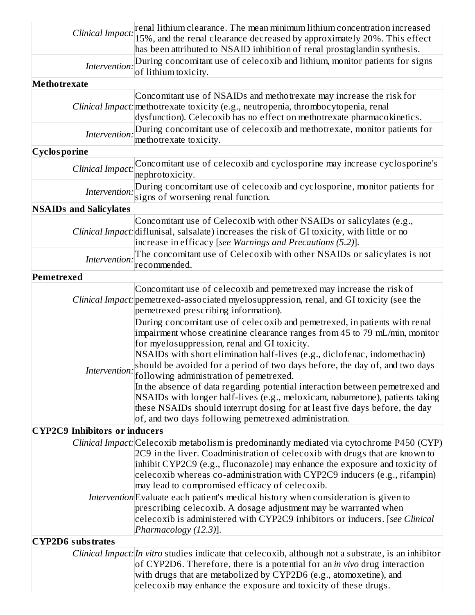| <b>Clinical Impact:</b>              | renal lithium clearance. The mean minimum lithium concentration increased<br>15%, and the renal clearance decreased by approximately 20%. This effect<br>has been attributed to NSAID inhibition of renal prostaglandin synthesis.                                                                                                                                                                                                                                                                                                                                                                                                                                                                                                     |  |  |  |
|--------------------------------------|----------------------------------------------------------------------------------------------------------------------------------------------------------------------------------------------------------------------------------------------------------------------------------------------------------------------------------------------------------------------------------------------------------------------------------------------------------------------------------------------------------------------------------------------------------------------------------------------------------------------------------------------------------------------------------------------------------------------------------------|--|--|--|
| Intervention:                        | During concomitant use of celecoxib and lithium, monitor patients for signs<br>of lithium toxicity.                                                                                                                                                                                                                                                                                                                                                                                                                                                                                                                                                                                                                                    |  |  |  |
| Methotrexate                         |                                                                                                                                                                                                                                                                                                                                                                                                                                                                                                                                                                                                                                                                                                                                        |  |  |  |
|                                      | Concomitant use of NSAIDs and methotrexate may increase the risk for<br>Clinical Impact: methotrexate toxicity (e.g., neutropenia, thrombocytopenia, renal<br>dysfunction). Celecoxib has no effect on methotrexate pharmacokinetics.                                                                                                                                                                                                                                                                                                                                                                                                                                                                                                  |  |  |  |
| Intervention:                        | During concomitant use of celecoxib and methotrexate, monitor patients for<br>methotrexate toxicity.                                                                                                                                                                                                                                                                                                                                                                                                                                                                                                                                                                                                                                   |  |  |  |
| Cyclosporine                         |                                                                                                                                                                                                                                                                                                                                                                                                                                                                                                                                                                                                                                                                                                                                        |  |  |  |
| <b>Clinical Impact:</b>              | Concomitant use of celecoxib and cyclosporine may increase cyclosporine's<br>nephrotoxicity.                                                                                                                                                                                                                                                                                                                                                                                                                                                                                                                                                                                                                                           |  |  |  |
| Intervention:                        | During concomitant use of celecoxib and cyclosporine, monitor patients for<br>signs of worsening renal function.                                                                                                                                                                                                                                                                                                                                                                                                                                                                                                                                                                                                                       |  |  |  |
| <b>NSAIDs and Salicylates</b>        |                                                                                                                                                                                                                                                                                                                                                                                                                                                                                                                                                                                                                                                                                                                                        |  |  |  |
|                                      | Concomitant use of Celecoxib with other NSAIDs or salicylates (e.g.,<br>Clinical Impact: diflunisal, salsalate) increases the risk of GI toxicity, with little or no<br>increase in efficacy [see Warnings and Precautions (5.2)].                                                                                                                                                                                                                                                                                                                                                                                                                                                                                                     |  |  |  |
| Intervention:                        | The concomitant use of Celecoxib with other NSAIDs or salicylates is not<br>recommended.                                                                                                                                                                                                                                                                                                                                                                                                                                                                                                                                                                                                                                               |  |  |  |
| Pemetrexed                           |                                                                                                                                                                                                                                                                                                                                                                                                                                                                                                                                                                                                                                                                                                                                        |  |  |  |
|                                      | Concomitant use of celecoxib and pemetrexed may increase the risk of<br>Clinical Impact: pemetrexed-associated myelosuppression, renal, and GI toxicity (see the<br>pemetrexed prescribing information).                                                                                                                                                                                                                                                                                                                                                                                                                                                                                                                               |  |  |  |
|                                      | During concomitant use of celecoxib and pemetrexed, in patients with renal<br>impairment whose creatinine clearance ranges from 45 to 79 mL/min, monitor<br>for myelosuppression, renal and GI toxicity.<br>NSAIDs with short elimination half-lives (e.g., diclofenac, indomethacin)<br>should be avoided for a period of two days before, the day of, and two days<br>Intervention: following administration of pemetrexed.<br>In the absence of data regarding potential interaction between pemetrexed and<br>NSAIDs with longer half-lives (e.g., meloxicam, nabumetone), patients taking<br>these NSAIDs should interrupt dosing for at least five days before, the day<br>of, and two days following pemetrexed administration. |  |  |  |
| <b>CYP2C9 Inhibitors or inducers</b> |                                                                                                                                                                                                                                                                                                                                                                                                                                                                                                                                                                                                                                                                                                                                        |  |  |  |
|                                      | Clinical Impact: Celecoxib metabolism is predominantly mediated via cytochrome P450 (CYP)<br>2C9 in the liver. Coadministration of celecoxib with drugs that are known to<br>inhibit CYP2C9 (e.g., fluconazole) may enhance the exposure and toxicity of<br>celecoxib whereas co-administration with CYP2C9 inducers (e.g., rifampin)<br>may lead to compromised efficacy of celecoxib.                                                                                                                                                                                                                                                                                                                                                |  |  |  |
|                                      | Intervention Evaluate each patient's medical history when consideration is given to<br>prescribing celecoxib. A dosage adjustment may be warranted when<br>celecoxib is administered with CYP2C9 inhibitors or inducers. [see Clinical<br>Pharmacology (12.3)].                                                                                                                                                                                                                                                                                                                                                                                                                                                                        |  |  |  |
| <b>CYP2D6</b> substrates             |                                                                                                                                                                                                                                                                                                                                                                                                                                                                                                                                                                                                                                                                                                                                        |  |  |  |
|                                      | <i>Clinical Impact: In vitro studies indicate that celecoxib, although not a substrate, is an inhibitor</i><br>of CYP2D6. Therefore, there is a potential for an <i>in vivo</i> drug interaction<br>with drugs that are metabolized by CYP2D6 (e.g., atomoxetine), and<br>celecoxib may enhance the exposure and toxicity of these drugs.                                                                                                                                                                                                                                                                                                                                                                                              |  |  |  |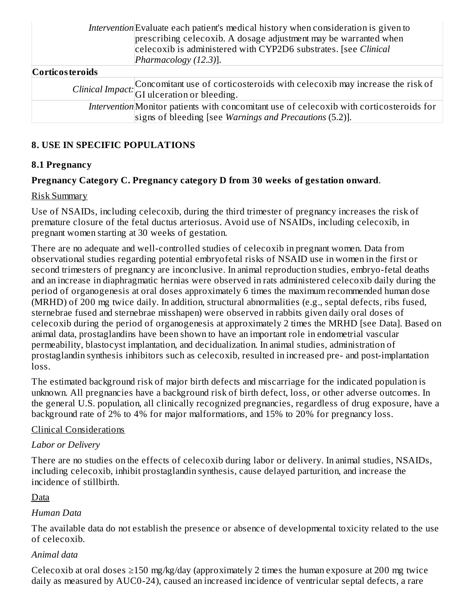|                        | Intervention Evaluate each patient's medical history when consideration is given to<br>prescribing celecoxib. A dosage adjustment may be warranted when<br>celecoxib is administered with CYP2D6 substrates. [see Clinical<br>Pharmacology $(12.3)$ ]. |  |  |
|------------------------|--------------------------------------------------------------------------------------------------------------------------------------------------------------------------------------------------------------------------------------------------------|--|--|
| <b>Corticosteroids</b> |                                                                                                                                                                                                                                                        |  |  |
|                        | <i>Clinical Impact:</i> Concomitant use of corticosteroids with celecoxib may increase the risk of GI ulceration or bleeding.                                                                                                                          |  |  |
|                        | Intervention Monitor patients with concomitant use of celecoxib with corticosteroids for<br>signs of bleeding [see Warnings and Precautions (5.2)].                                                                                                    |  |  |

# **8. USE IN SPECIFIC POPULATIONS**

#### **8.1 Pregnancy**

#### **Pregnancy Category C. Pregnancy category D from 30 weeks of gestation onward**.

#### Risk Summary

Use of NSAIDs, including celecoxib, during the third trimester of pregnancy increases the risk of premature closure of the fetal ductus arteriosus. Avoid use of NSAIDs, including celecoxib, in pregnant women starting at 30 weeks of gestation.

There are no adequate and well-controlled studies of celecoxib in pregnant women. Data from observational studies regarding potential embryofetal risks of NSAID use in women in the first or second trimesters of pregnancy are inconclusive. In animal reproduction studies, embryo-fetal deaths and an increase in diaphragmatic hernias were observed in rats administered celecoxib daily during the period of organogenesis at oral doses approximately 6 times the maximum recommended human dose (MRHD) of 200 mg twice daily. In addition, structural abnormalities (e.g., septal defects, ribs fused, sternebrae fused and sternebrae misshapen) were observed in rabbits given daily oral doses of celecoxib during the period of organogenesis at approximately 2 times the MRHD [see Data]. Based on animal data, prostaglandins have been shown to have an important role in endometrial vascular permeability, blastocyst implantation, and decidualization. In animal studies, administration of prostaglandin synthesis inhibitors such as celecoxib, resulted in increased pre- and post-implantation loss.

The estimated background risk of major birth defects and miscarriage for the indicated population is unknown. All pregnancies have a background risk of birth defect, loss, or other adverse outcomes. In the general U.S. population, all clinically recognized pregnancies, regardless of drug exposure, have a background rate of 2% to 4% for major malformations, and 15% to 20% for pregnancy loss.

#### Clinical Considerations

#### *Labor or Delivery*

There are no studies on the effects of celecoxib during labor or delivery. In animal studies, NSAIDs, including celecoxib, inhibit prostaglandin synthesis, cause delayed parturition, and increase the incidence of stillbirth.

#### Data

#### *Human Data*

The available data do not establish the presence or absence of developmental toxicity related to the use of celecoxib.

#### *Animal data*

Celecoxib at oral doses  $\geq$ 150 mg/kg/day (approximately 2 times the human exposure at 200 mg twice daily as measured by AUC0-24), caused an increased incidence of ventricular septal defects, a rare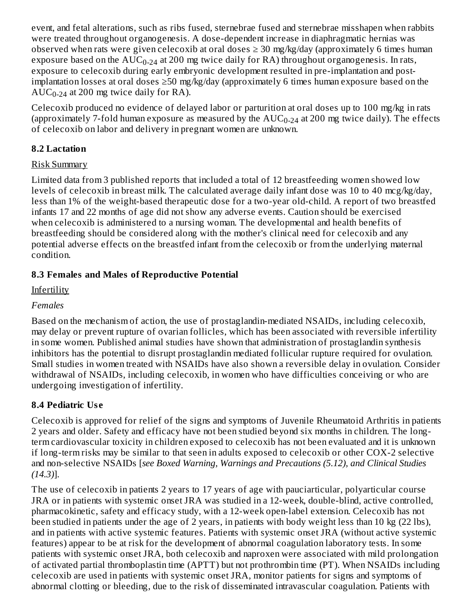event, and fetal alterations, such as ribs fused, sternebrae fused and sternebrae misshapen when rabbits were treated throughout organogenesis. A dose-dependent increase in diaphragmatic hernias was observed when rats were given celecoxib at oral doses  $\geq$  30 mg/kg/day (approximately 6 times human exposure based on the  $\mathrm{AUC_{0\text{-}24}}$  at 200 mg twice daily for RA) throughout organogenesis. In rats, exposure to celecoxib during early embryonic development resulted in pre-implantation and postimplantation losses at oral doses ≥50 mg/kg/day (approximately 6 times human exposure based on the  $AUC_{0-24}$  at 200 mg twice daily for RA).

Celecoxib produced no evidence of delayed labor or parturition at oral doses up to 100 mg/kg in rats (approximately 7-fold human exposure as measured by the  $\mathrm{AUC_{0\text{-}24}}$  at 200 mg twice daily). The effects of celecoxib on labor and delivery in pregnant women are unknown.

# **8.2 Lactation**

# Risk Summary

Limited data from 3 published reports that included a total of 12 breastfeeding women showed low levels of celecoxib in breast milk. The calculated average daily infant dose was 10 to 40 mcg/kg/day, less than 1% of the weight-based therapeutic dose for a two-year old-child. A report of two breastfed infants 17 and 22 months of age did not show any adverse events. Caution should be exercised when celecoxib is administered to a nursing woman. The developmental and health benefits of breastfeeding should be considered along with the mother's clinical need for celecoxib and any potential adverse effects on the breastfed infant from the celecoxib or from the underlying maternal condition.

# **8.3 Females and Males of Reproductive Potential**

**Infertility** 

# *Females*

Based on the mechanism of action, the use of prostaglandin-mediated NSAIDs, including celecoxib, may delay or prevent rupture of ovarian follicles, which has been associated with reversible infertility in some women. Published animal studies have shown that administration of prostaglandin synthesis inhibitors has the potential to disrupt prostaglandin mediated follicular rupture required for ovulation. Small studies in women treated with NSAIDs have also shown a reversible delay in ovulation. Consider withdrawal of NSAIDs, including celecoxib, in women who have difficulties conceiving or who are undergoing investigation of infertility.

# **8.4 Pediatric Us e**

Celecoxib is approved for relief of the signs and symptoms of Juvenile Rheumatoid Arthritis in patients 2 years and older. Safety and efficacy have not been studied beyond six months in children. The longterm cardiovascular toxicity in children exposed to celecoxib has not been evaluated and it is unknown if long-term risks may be similar to that seen in adults exposed to celecoxib or other COX-2 selective and non-selective NSAIDs [*see Boxed Warning, Warnings and Precautions (5.12), and Clinical Studies (14.3)*].

The use of celecoxib in patients 2 years to 17 years of age with pauciarticular, polyarticular course JRA or in patients with systemic onset JRA was studied in a 12-week, double-blind, active controlled, pharmacokinetic, safety and efficacy study, with a 12-week open-label extension. Celecoxib has not been studied in patients under the age of 2 years, in patients with body weight less than 10 kg (22 lbs), and in patients with active systemic features. Patients with systemic onset JRA (without active systemic features) appear to be at risk for the development of abnormal coagulation laboratory tests. In some patients with systemic onset JRA, both celecoxib and naproxen were associated with mild prolongation of activated partial thromboplastin time (APTT) but not prothrombin time (PT). When NSAIDs including celecoxib are used in patients with systemic onset JRA, monitor patients for signs and symptoms of abnormal clotting or bleeding, due to the risk of disseminated intravascular coagulation. Patients with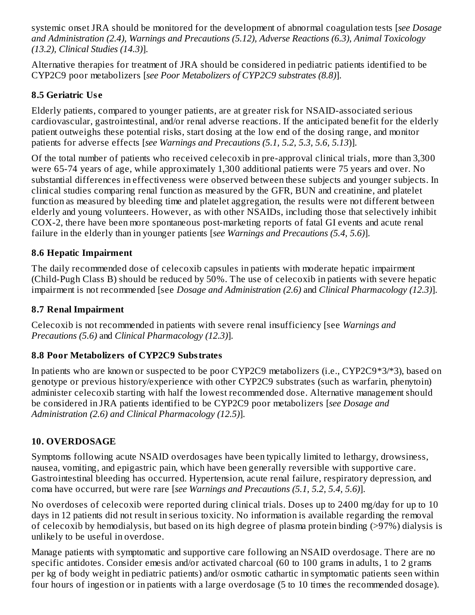systemic onset JRA should be monitored for the development of abnormal coagulation tests [*see Dosage and Administration (2.4), Warnings and Precautions (5.12), Adverse Reactions (6.3), Animal Toxicology (13.2), Clinical Studies (14.3)*].

Alternative therapies for treatment of JRA should be considered in pediatric patients identified to be CYP2C9 poor metabolizers [*see Poor Metabolizers of CYP2C9 substrates (8.8)*].

# **8.5 Geriatric Us e**

Elderly patients, compared to younger patients, are at greater risk for NSAID-associated serious cardiovascular, gastrointestinal, and/or renal adverse reactions. If the anticipated benefit for the elderly patient outweighs these potential risks, start dosing at the low end of the dosing range, and monitor patients for adverse effects [*see Warnings and Precautions (5.1, 5.2, 5.3, 5.6, 5.13*)].

Of the total number of patients who received celecoxib in pre-approval clinical trials, more than 3,300 were 65-74 years of age, while approximately 1,300 additional patients were 75 years and over. No substantial differences in effectiveness were observed between these subjects and younger subjects. In clinical studies comparing renal function as measured by the GFR, BUN and creatinine, and platelet function as measured by bleeding time and platelet aggregation, the results were not different between elderly and young volunteers. However, as with other NSAIDs, including those that selectively inhibit COX-2, there have been more spontaneous post-marketing reports of fatal GI events and acute renal failure in the elderly than in younger patients [*see Warnings and Precautions (5.4, 5.6)*].

#### **8.6 Hepatic Impairment**

The daily recommended dose of celecoxib capsules in patients with moderate hepatic impairment (Child-Pugh Class B) should be reduced by 50%. The use of celecoxib in patients with severe hepatic impairment is not recommended [see *Dosage and Administration (2.6)* and *Clinical Pharmacology (12.3)*].

#### **8.7 Renal Impairment**

Celecoxib is not recommended in patients with severe renal insufficiency [see *Warnings and Precautions (5.6)* and *Clinical Pharmacology (12.3)*].

#### **8.8 Poor Metabolizers of CYP2C9 Substrates**

In patients who are known or suspected to be poor CYP2C9 metabolizers (i.e., CYP2C9\*3/\*3), based on genotype or previous history/experience with other CYP2C9 substrates (such as warfarin, phenytoin) administer celecoxib starting with half the lowest recommended dose. Alternative management should be considered in JRA patients identified to be CYP2C9 poor metabolizers [*see Dosage and Administration (2.6) and Clinical Pharmacology (12.5)*].

#### **10. OVERDOSAGE**

Symptoms following acute NSAID overdosages have been typically limited to lethargy, drowsiness, nausea, vomiting, and epigastric pain, which have been generally reversible with supportive care. Gastrointestinal bleeding has occurred. Hypertension, acute renal failure, respiratory depression, and coma have occurred, but were rare [*see Warnings and Precautions (5.1, 5.2, 5.4, 5.6)*].

No overdoses of celecoxib were reported during clinical trials. Doses up to 2400 mg/day for up to 10 days in 12 patients did not result in serious toxicity. No information is available regarding the removal of celecoxib by hemodialysis, but based on its high degree of plasma protein binding (>97%) dialysis is unlikely to be useful in overdose.

Manage patients with symptomatic and supportive care following an NSAID overdosage. There are no specific antidotes. Consider emesis and/or activated charcoal (60 to 100 grams in adults, 1 to 2 grams per kg of body weight in pediatric patients) and/or osmotic cathartic in symptomatic patients seen within four hours of ingestion or in patients with a large overdosage (5 to 10 times the recommended dosage).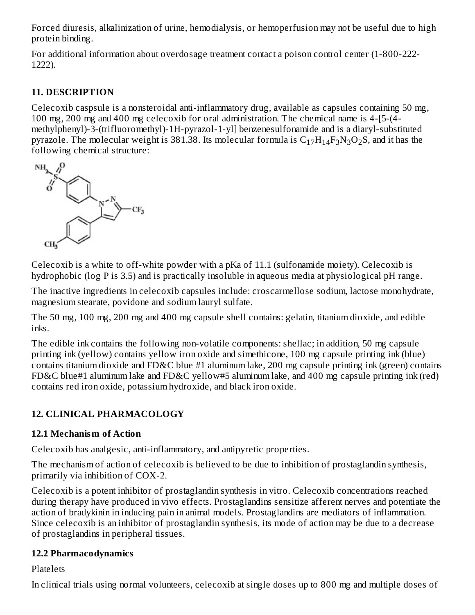Forced diuresis, alkalinization of urine, hemodialysis, or hemoperfusion may not be useful due to high protein binding.

For additional information about overdosage treatment contact a poison control center (1-800-222- 1222).

# **11. DESCRIPTION**

Celecoxib caspsule is a nonsteroidal anti-inflammatory drug, available as capsules containing 50 mg, 100 mg, 200 mg and 400 mg celecoxib for oral administration. The chemical name is 4-[5-(4 methylphenyl)-3-(trifluoromethyl)-1H-pyrazol-1-yl] benzenesulfonamide and is a diaryl-substituted pyrazole. The molecular weight is 381.38. Its molecular formula is  $\rm{C_{17}H_{14}F_{3}N_{3}O_{2}S}$ , and it has the following chemical structure:



Celecoxib is a white to off-white powder with a pKa of 11.1 (sulfonamide moiety). Celecoxib is hydrophobic (log P is 3.5) and is practically insoluble in aqueous media at physiological pH range.

The inactive ingredients in celecoxib capsules include: croscarmellose sodium, lactose monohydrate, magnesium stearate, povidone and sodium lauryl sulfate.

The 50 mg, 100 mg, 200 mg and 400 mg capsule shell contains: gelatin, titanium dioxide, and edible inks.

The edible ink contains the following non-volatile components: shellac; in addition, 50 mg capsule printing ink (yellow) contains yellow iron oxide and simethicone, 100 mg capsule printing ink (blue) contains titanium dioxide and FD&C blue #1 aluminum lake, 200 mg capsule printing ink (green) contains FD&C blue#1 aluminum lake and FD&C yellow#5 aluminum lake, and 400 mg capsule printing ink (red) contains red iron oxide, potassium hydroxide, and black iron oxide.

# **12. CLINICAL PHARMACOLOGY**

# **12.1 Mechanism of Action**

Celecoxib has analgesic, anti-inflammatory, and antipyretic properties.

The mechanism of action of celecoxib is believed to be due to inhibition of prostaglandin synthesis, primarily via inhibition of COX-2.

Celecoxib is a potent inhibitor of prostaglandin synthesis in vitro. Celecoxib concentrations reached during therapy have produced in vivo effects. Prostaglandins sensitize afferent nerves and potentiate the action of bradykinin in inducing pain in animal models. Prostaglandins are mediators of inflammation. Since celecoxib is an inhibitor of prostaglandin synthesis, its mode of action may be due to a decrease of prostaglandins in peripheral tissues.

# **12.2 Pharmacodynamics**

Platelets

In clinical trials using normal volunteers, celecoxib at single doses up to 800 mg and multiple doses of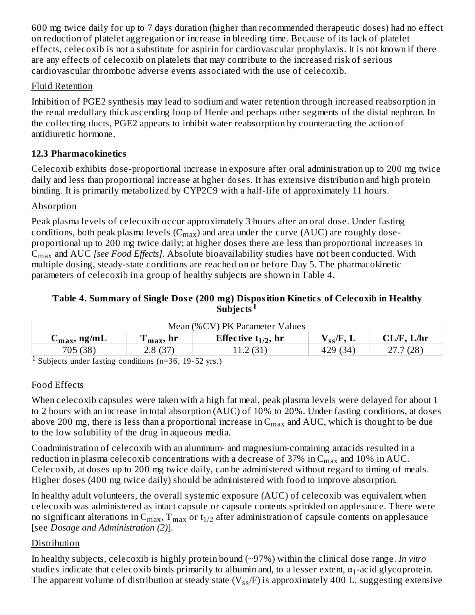600 mg twice daily for up to 7 days duration (higher than recommended therapeutic doses) had no effect on reduction of platelet aggregation or increase in bleeding time. Because of its lack of platelet effects, celecoxib is not a substitute for aspirin for cardiovascular prophylaxis. It is not known if there are any effects of celecoxib on platelets that may contribute to the increased risk of serious cardiovascular thrombotic adverse events associated with the use of celecoxib.

#### Fluid Retention

Inhibition of PGE2 synthesis may lead to sodium and water retention through increased reabsorption in the renal medullary thick ascending loop of Henle and perhaps other segments of the distal nephron. In the collecting ducts, PGE2 appears to inhibit water reabsorption by counteracting the action of antidiuretic hormone.

# **12.3 Pharmacokinetics**

Celecoxib exhibits dose-proportional increase in exposure after oral administration up to 200 mg twice daily and less than proportional increase at hgher doses. It has extensive distribution and high protein binding. It is primarily metabolized by CYP2C9 with a half-life of approximately 11 hours.

# Absorption

Peak plasma levels of celecoxib occur approximately 3 hours after an oral dose. Under fasting conditions, both peak plasma levels  $(\mathrm{C_{max}})$  and area under the curve (AUC) are roughly doseproportional up to 200 mg twice daily; at higher doses there are less than proportional increases in  $\mathsf{C}_{\max}$  and AUC *[see Food Effects]*. Absolute bioavailability studies have not been conducted. With multiple dosing, steady-state conditions are reached on or before Day 5. The pharmacokinetic parameters of celecoxib in a group of healthy subjects are shown in Table 4.

#### **Table 4. Summary of Single Dos e (200 mg) Disposition Kinetics of Celecoxib in Healthy Subjects 1**

| Mean (%CV) PK Parameter Values |                          |               |            |  |
|--------------------------------|--------------------------|---------------|------------|--|
|                                | Effective $t_{1/2}$ , hr | $V_{ss}/F, L$ | CL/F, L/hr |  |
| 2.8(37)                        | 11.2 (31)                | 429(34)       | 27.7 (28)  |  |
|                                | $\mathbf{T_{max}}$ , hr  | .             |            |  |

 $1$  Subjects under fasting conditions (n=36, 19-52 yrs.)

# Food Effects

When celecoxib capsules were taken with a high fat meal, peak plasma levels were delayed for about 1 to 2 hours with an increase in total absorption (AUC) of 10% to 20%. Under fasting conditions, at doses above 200 mg, there is less than a proportional increase in  $\rm{C_{max}}$  and  $\rm{AUC}$ , which is thought to be due to the low solubility of the drug in aqueous media.

Coadministration of celecoxib with an aluminum- and magnesium-containing antacids resulted in a reduction in plasma celecoxib concentrations with a decrease of 37% in  $\rm{C_{max}}$  and 10% in AUC. Celecoxib, at doses up to 200 mg twice daily, can be administered without regard to timing of meals. Higher doses (400 mg twice daily) should be administered with food to improve absorption.

In healthy adult volunteers, the overall systemic exposure (AUC) of celecoxib was equivalent when celecoxib was administered as intact capsule or capsule contents sprinkled on applesauce. There were no significant alterations in  ${\sf C_{max}}$ ,  ${\tt T_{max}}$  or  ${\tt t_{1/2}}$  after administration of capsule contents on applesauce [see *Dosage and Administration (2)*].

# Distribution

In healthy subjects, celecoxib is highly protein bound (~97%) within the clinical dose range. *In vitro* studies indicate that celecoxib binds primarily to albumin and, to a lesser extent,  $\alpha_1$ -acid glycoprotein. The apparent volume of distribution at steady state (V $_{\rm ss}$ /F) is approximately 400 L, suggesting extensive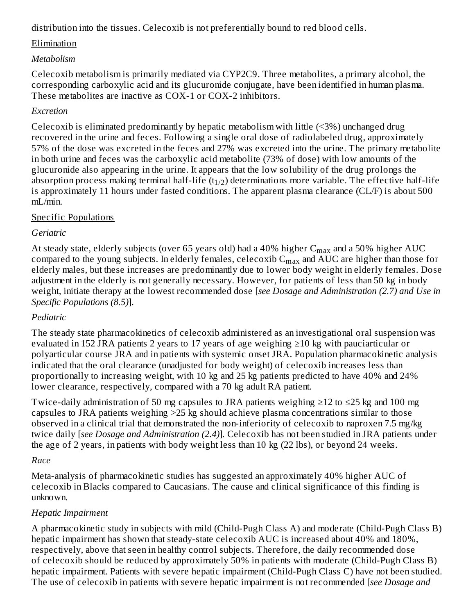distribution into the tissues. Celecoxib is not preferentially bound to red blood cells. ss

# Elimination

# *Metabolism*

Celecoxib metabolism is primarily mediated via CYP2C9. Three metabolites, a primary alcohol, the corresponding carboxylic acid and its glucuronide conjugate, have been identified in human plasma. These metabolites are inactive as COX-1 or COX-2 inhibitors.

# *Excretion*

Celecoxib is eliminated predominantly by hepatic metabolism with little (<3%) unchanged drug recovered in the urine and feces. Following a single oral dose of radiolabeled drug, approximately 57% of the dose was excreted in the feces and 27% was excreted into the urine. The primary metabolite in both urine and feces was the carboxylic acid metabolite (73% of dose) with low amounts of the glucuronide also appearing in the urine. It appears that the low solubility of the drug prolongs the absorption process making terminal half-life (t $_{1/2}$ ) determinations more variable. The effective half-life is approximately 11 hours under fasted conditions. The apparent plasma clearance (CL/F) is about 500 mL/min.

# Specific Populations

# *Geriatric*

At steady state, elderly subjects (over 65 years old) had a 40% higher  $\rm{C_{max}}$  and a 50% higher  $\rm{AUC}$ compared to the young subjects. In elderly females, celecoxib  $\mathsf{C}_{\max}$  and  $\mathrm{AUC}$  are higher than those for elderly males, but these increases are predominantly due to lower body weight in elderly females. Dose adjustment in the elderly is not generally necessary. However, for patients of less than 50 kg in body weight, initiate therapy at the lowest recommended dose [*see Dosage and Administration (2.7) and Use in Specific Populations (8.5)*].

# *Pediatric*

The steady state pharmacokinetics of celecoxib administered as an investigational oral suspension was evaluated in 152 JRA patients 2 years to 17 years of age weighing ≥10 kg with pauciarticular or polyarticular course JRA and in patients with systemic onset JRA. Population pharmacokinetic analysis indicated that the oral clearance (unadjusted for body weight) of celecoxib increases less than proportionally to increasing weight, with 10 kg and 25 kg patients predicted to have 40% and 24% lower clearance, respectively, compared with a 70 kg adult RA patient.

Twice-daily administration of 50 mg capsules to JRA patients weighing ≥12 to ≤25 kg and 100 mg capsules to JRA patients weighing >25 kg should achieve plasma concentrations similar to those observed in a clinical trial that demonstrated the non-inferiority of celecoxib to naproxen 7.5 mg/kg twice daily [*see Dosage and Administration (2.4)*]*.* Celecoxib has not been studied in JRA patients under the age of 2 years, in patients with body weight less than 10 kg (22 lbs), or beyond 24 weeks.

# *Race*

Meta-analysis of pharmacokinetic studies has suggested an approximately 40% higher AUC of celecoxib in Blacks compared to Caucasians. The cause and clinical significance of this finding is unknown.

# *Hepatic Impairment*

A pharmacokinetic study in subjects with mild (Child-Pugh Class A) and moderate (Child-Pugh Class B) hepatic impairment has shown that steady-state celecoxib AUC is increased about 40% and 180%, respectively, above that seen in healthy control subjects. Therefore, the daily recommended dose of celecoxib should be reduced by approximately 50% in patients with moderate (Child-Pugh Class B) hepatic impairment. Patients with severe hepatic impairment (Child-Pugh Class C) have not been studied. The use of celecoxib in patients with severe hepatic impairment is not recommended [*see Dosage and*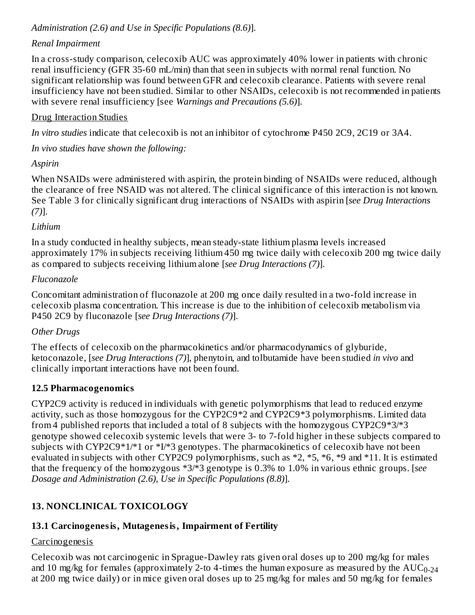# *Administration (2.6) and Use in Specific Populations (8.6)*].

# *Renal Impairment*

In a cross-study comparison, celecoxib AUC was approximately 40% lower in patients with chronic renal insufficiency (GFR 35-60 mL/min) than that seen in subjects with normal renal function. No significant relationship was found between GFR and celecoxib clearance. Patients with severe renal insufficiency have not been studied. Similar to other NSAIDs, celecoxib is not recommended in patients with severe renal insufficiency [see *Warnings and Precautions (5.6)*].

# Drug Interaction Studies

*In vitro studies* indicate that celecoxib is not an inhibitor of cytochrome P450 2C9, 2C19 or 3A4.

*In vivo studies have shown the following:*

# *Aspirin*

When NSAIDs were administered with aspirin, the protein binding of NSAIDs were reduced, although the clearance of free NSAID was not altered. The clinical significance of this interaction is not known. See Table 3 for clinically significant drug interactions of NSAIDs with aspirin [*see Drug Interactions (7)*].

# *Lithium*

In a study conducted in healthy subjects, mean steady-state lithium plasma levels increased approximately 17% in subjects receiving lithium 450 mg twice daily with celecoxib 200 mg twice daily as compared to subjects receiving lithium alone [*see Drug Interactions (7)*].

# *Fluconazole*

Concomitant administration of fluconazole at 200 mg once daily resulted in a two-fold increase in celecoxib plasma concentration. This increase is due to the inhibition of celecoxib metabolism via P450 2C9 by fluconazole [*see Drug Interactions (7)*].

# *Other Drugs*

The effects of celecoxib on the pharmacokinetics and/or pharmacodynamics of glyburide, ketoconazole, [*see Drug Interactions (7)*], phenytoin, and tolbutamide have been studied *in vivo* and clinically important interactions have not been found.

# **12.5 Pharmacogenomics**

CYP2C9 activity is reduced in individuals with genetic polymorphisms that lead to reduced enzyme activity, such as those homozygous for the CYP2C9\*2 and CYP2C9\*3 polymorphisms. Limited data from 4 published reports that included a total of 8 subjects with the homozygous CYP2C9\*3/\*3 genotype showed celecoxib systemic levels that were 3- to 7-fold higher in these subjects compared to subjects with CYP2C9\*1/\*1 or \*I/\*3 genotypes. The pharmacokinetics of celecoxib have not been evaluated in subjects with other CYP2C9 polymorphisms, such as \*2, \*5, \*6, \*9 and \*11. It is estimated that the frequency of the homozygous \*3/\*3 genotype is 0.3% to 1.0% in various ethnic groups. [*see Dosage and Administration (2.6), Use in Specific Populations (8.8)*].

# **13. NONCLINICAL TOXICOLOGY**

# **13.1 Carcinogenesis, Mutagenesis, Impairment of Fertility**

# Carcinogenesis

Celecoxib was not carcinogenic in Sprague-Dawley rats given oral doses up to 200 mg/kg for males and 10 mg/kg for females (approximately 2-to 4-times the human exposure as measured by the  $\mathrm{AUC_{0-24}}$ at 200 mg twice daily) or in mice given oral doses up to 25 mg/kg for males and 50 mg/kg for females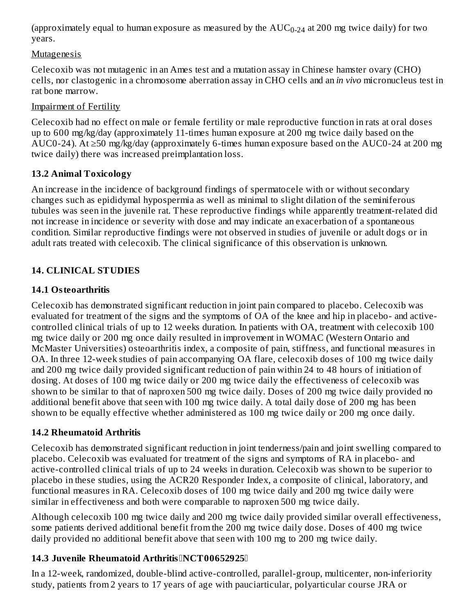(approximately equal to human exposure as measured by the  $\mathrm{AUC_{0-24}}$  at 200 mg twice daily) for two years.

#### **Mutagenesis**

Celecoxib was not mutagenic in an Ames test and a mutation assay in Chinese hamster ovary (CHO) cells, nor clastogenic in a chromosome aberration assay in CHO cells and an *in vivo* micronucleus test in rat bone marrow.

# Impairment of Fertility

Celecoxib had no effect on male or female fertility or male reproductive function in rats at oral doses up to 600 mg/kg/day (approximately 11-times human exposure at 200 mg twice daily based on the AUC0-24). At ≥50 mg/kg/day (approximately 6-times human exposure based on the AUC0-24 at 200 mg twice daily) there was increased preimplantation loss.

# **13.2 Animal Toxicology**

An increase in the incidence of background findings of spermatocele with or without secondary changes such as epididymal hypospermia as well as minimal to slight dilation of the seminiferous tubules was seen in the juvenile rat. These reproductive findings while apparently treatment-related did not increase in incidence or severity with dose and may indicate an exacerbation of a spontaneous condition. Similar reproductive findings were not observed in studies of juvenile or adult dogs or in adult rats treated with celecoxib. The clinical significance of this observation is unknown.

# **14. CLINICAL STUDIES**

# **14.1 Osteoarthritis**

Celecoxib has demonstrated significant reduction in joint pain compared to placebo. Celecoxib was evaluated for treatment of the signs and the symptoms of OA of the knee and hip in placebo- and activecontrolled clinical trials of up to 12 weeks duration. In patients with OA, treatment with celecoxib 100 mg twice daily or 200 mg once daily resulted in improvement in WOMAC (Western Ontario and McMaster Universities) osteoarthritis index, a composite of pain, stiffness, and functional measures in OA. In three 12-week studies of pain accompanying OA flare, celecoxib doses of 100 mg twice daily and 200 mg twice daily provided significant reduction of pain within 24 to 48 hours of initiation of dosing. At doses of 100 mg twice daily or 200 mg twice daily the effectiveness of celecoxib was shown to be similar to that of naproxen 500 mg twice daily. Doses of 200 mg twice daily provided no additional benefit above that seen with 100 mg twice daily. A total daily dose of 200 mg has been shown to be equally effective whether administered as 100 mg twice daily or 200 mg once daily.

# **14.2 Rheumatoid Arthritis**

Celecoxib has demonstrated significant reduction in joint tenderness/pain and joint swelling compared to placebo. Celecoxib was evaluated for treatment of the signs and symptoms of RA in placebo- and active-controlled clinical trials of up to 24 weeks in duration. Celecoxib was shown to be superior to placebo in these studies, using the ACR20 Responder Index, a composite of clinical, laboratory, and functional measures in RA. Celecoxib doses of 100 mg twice daily and 200 mg twice daily were similar in effectiveness and both were comparable to naproxen 500 mg twice daily.

Although celecoxib 100 mg twice daily and 200 mg twice daily provided similar overall effectiveness, some patients derived additional benefit from the 200 mg twice daily dose. Doses of 400 mg twice daily provided no additional benefit above that seen with 100 mg to 200 mg twice daily.

# **14.3 Juvenile Rheumatoid ArthritisNCT00652925**

In a 12-week, randomized, double-blind active-controlled, parallel-group, multicenter, non-inferiority study, patients from 2 years to 17 years of age with pauciarticular, polyarticular course JRA or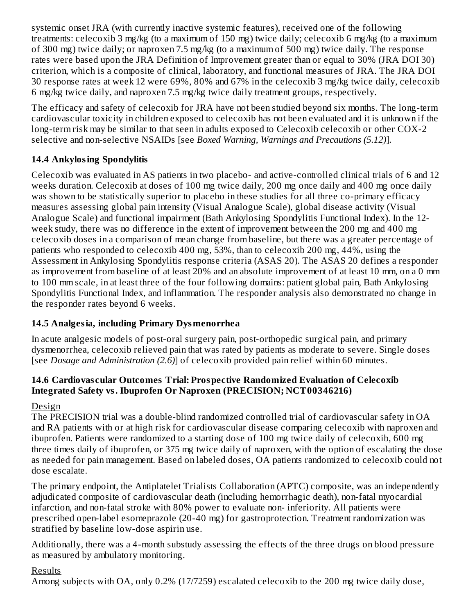systemic onset JRA (with currently inactive systemic features), received one of the following treatments: celecoxib 3 mg/kg (to a maximum of 150 mg) twice daily; celecoxib 6 mg/kg (to a maximum of 300 mg) twice daily; or naproxen 7.5 mg/kg (to a maximum of 500 mg) twice daily. The response rates were based upon the JRA Definition of Improvement greater than or equal to 30% (JRA DOI 30) criterion, which is a composite of clinical, laboratory, and functional measures of JRA. The JRA DOI 30 response rates at week 12 were 69%, 80% and 67% in the celecoxib 3 mg/kg twice daily, celecoxib 6 mg/kg twice daily, and naproxen 7.5 mg/kg twice daily treatment groups, respectively.

The efficacy and safety of celecoxib for JRA have not been studied beyond six months. The long-term cardiovascular toxicity in children exposed to celecoxib has not been evaluated and it is unknown if the long-term risk may be similar to that seen in adults exposed to Celecoxib celecoxib or other COX-2 selective and non-selective NSAIDs [see *Boxed Warning, Warnings and Precautions (5.12)*].

# **14.4 Ankylosing Spondylitis**

Celecoxib was evaluated in AS patients in two placebo- and active-controlled clinical trials of 6 and 12 weeks duration. Celecoxib at doses of 100 mg twice daily, 200 mg once daily and 400 mg once daily was shown to be statistically superior to placebo in these studies for all three co-primary efficacy measures assessing global pain intensity (Visual Analogue Scale), global disease activity (Visual Analogue Scale) and functional impairment (Bath Ankylosing Spondylitis Functional Index). In the 12 week study, there was no difference in the extent of improvement between the 200 mg and 400 mg celecoxib doses in a comparison of mean change from baseline, but there was a greater percentage of patients who responded to celecoxib 400 mg, 53%, than to celecoxib 200 mg, 44%, using the Assessment in Ankylosing Spondylitis response criteria (ASAS 20). The ASAS 20 defines a responder as improvement from baseline of at least 20% and an absolute improvement of at least 10 mm, on a 0 mm to 100 mm scale, in at least three of the four following domains: patient global pain, Bath Ankylosing Spondylitis Functional Index, and inflammation. The responder analysis also demonstrated no change in the responder rates beyond 6 weeks.

# **14.5 Analgesia, including Primary Dysmenorrhea**

In acute analgesic models of post-oral surgery pain, post-orthopedic surgical pain, and primary dysmenorrhea, celecoxib relieved pain that was rated by patients as moderate to severe. Single doses [see *Dosage and Administration (2.6)*] of celecoxib provided pain relief within 60 minutes.

#### **14.6 Cardiovas cular Outcomes Trial: Prospective Randomized Evaluation of Celecoxib Integrated Safety vs. Ibuprofen Or Naproxen (PRECISION; NCT00346216)**

# Design

The PRECISION trial was a double-blind randomized controlled trial of cardiovascular safety in OA and RA patients with or at high risk for cardiovascular disease comparing celecoxib with naproxen and ibuprofen. Patients were randomized to a starting dose of 100 mg twice daily of celecoxib, 600 mg three times daily of ibuprofen, or 375 mg twice daily of naproxen, with the option of escalating the dose as needed for pain management. Based on labeled doses, OA patients randomized to celecoxib could not dose escalate.

The primary endpoint, the Antiplatelet Trialists Collaboration (APTC) composite, was an independently adjudicated composite of cardiovascular death (including hemorrhagic death), non-fatal myocardial infarction, and non-fatal stroke with 80% power to evaluate non- inferiority. All patients were prescribed open-label esomeprazole (20-40 mg) for gastroprotection. Treatment randomization was stratified by baseline low-dose aspirin use.

Additionally, there was a 4-month substudy assessing the effects of the three drugs on blood pressure as measured by ambulatory monitoring.

# Results

Among subjects with OA, only 0.2% (17/7259) escalated celecoxib to the 200 mg twice daily dose,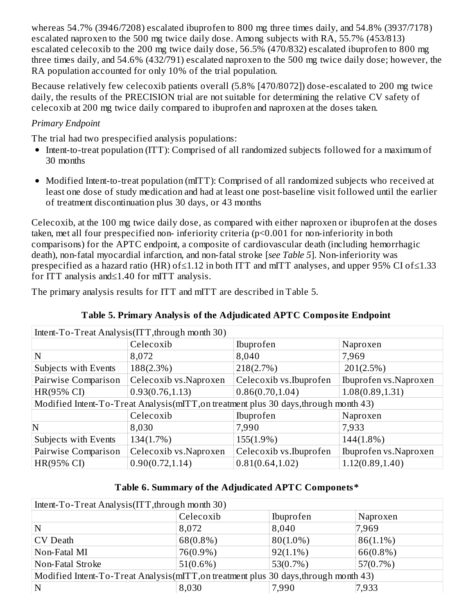whereas 54.7% (3946/7208) escalated ibuprofen to 800 mg three times daily, and 54.8% (3937/7178) escalated naproxen to the 500 mg twice daily dose. Among subjects with RA, 55.7% (453/813) escalated celecoxib to the 200 mg twice daily dose, 56.5% (470/832) escalated ibuprofen to 800 mg three times daily, and 54.6% (432/791) escalated naproxen to the 500 mg twice daily dose; however, the RA population accounted for only 10% of the trial population.

Because relatively few celecoxib patients overall (5.8% [470/8072]) dose-escalated to 200 mg twice daily, the results of the PRECISION trial are not suitable for determining the relative CV safety of celecoxib at 200 mg twice daily compared to ibuprofen and naproxen at the doses taken.

#### *Primary Endpoint*

The trial had two prespecified analysis populations:

- Intent-to-treat population (ITT): Comprised of all randomized subjects followed for a maximum of 30 months
- Modified Intent-to-treat population (mITT): Comprised of all randomized subjects who received at least one dose of study medication and had at least one post-baseline visit followed until the earlier of treatment discontinuation plus 30 days, or 43 months

Celecoxib, at the 100 mg twice daily dose, as compared with either naproxen or ibuprofen at the doses taken, met all four prespecified non- inferiority criteria (p<0.001 for non-inferiority in both comparisons) for the APTC endpoint, a composite of cardiovascular death (including hemorrhagic death), non-fatal myocardial infarction, and non-fatal stroke [*see Table 5*]. Non-inferiority was prespecified as a hazard ratio (HR) of≤1.12 in both ITT and mITT analyses, and upper 95% CI of≤1.33 for ITT analysis and≤1.40 for mITT analysis.

The primary analysis results for ITT and mITT are described in Table 5.

| Intent-To-Treat Analysis(ITT, through month 30)                                      |                       |                        |                       |  |  |
|--------------------------------------------------------------------------------------|-----------------------|------------------------|-----------------------|--|--|
|                                                                                      | Celecoxib             | Ibuprofen              | Naproxen              |  |  |
| N                                                                                    | 8,072                 | 8,040                  | 7,969                 |  |  |
| Subjects with Events                                                                 | 188(2.3%)             | 218(2.7%)              | 201(2.5%)             |  |  |
| Pairwise Comparison                                                                  | Celecoxib vs.Naproxen | Celecoxib vs.Ibuprofen | Ibuprofen vs.Naproxen |  |  |
| HR(95% CI)                                                                           | 0.93(0.76, 1.13)      | 0.86(0.70, 1.04)       | 1.08(0.89, 1.31)      |  |  |
| Modified Intent-To-Treat Analysis(mITT, on treatment plus 30 days, through month 43) |                       |                        |                       |  |  |
|                                                                                      | Celecoxib             | Ibuprofen              | Naproxen              |  |  |
| N                                                                                    | 8,030                 | 7,990                  | 7,933                 |  |  |
| Subjects with Events                                                                 | 134(1.7%)             | 155(1.9%)              | $144(1.8\%)$          |  |  |
| Pairwise Comparison                                                                  | Celecoxib vs.Naproxen | Celecoxib vs.Ibuprofen | Ibuprofen vs.Naproxen |  |  |
| HR(95% CI)                                                                           | 0.90(0.72, 1.14)      | 0.81(0.64, 1.02)       | 1.12(0.89, 1.40)      |  |  |

# **Table 5. Primary Analysis of the Adjudicated APTC Composite Endpoint**

#### **Table 6. Summary of the Adjudicated APTC Componets\***

| Intent-To-Treat Analysis(ITT, through month 30)                                      |             |                  |             |  |  |
|--------------------------------------------------------------------------------------|-------------|------------------|-------------|--|--|
|                                                                                      | Celecoxib   | <b>Ibuprofen</b> | Naproxen    |  |  |
| N                                                                                    | 8,072       | 8,040            | 7,969       |  |  |
| CV Death                                                                             | 68(0.8%)    | $80(1.0\%)$      | 86(1.1%)    |  |  |
| Non-Fatal MI                                                                         | 76(0.9%)    | $92(1.1\%)$      | 66(0.8%)    |  |  |
| Non-Fatal Stroke                                                                     | $51(0.6\%)$ | $53(0.7\%)$      | $57(0.7\%)$ |  |  |
| Modified Intent-To-Treat Analysis(mITT, on treatment plus 30 days, through month 43) |             |                  |             |  |  |
| N                                                                                    | 8,030       | 7,990            | 7,933       |  |  |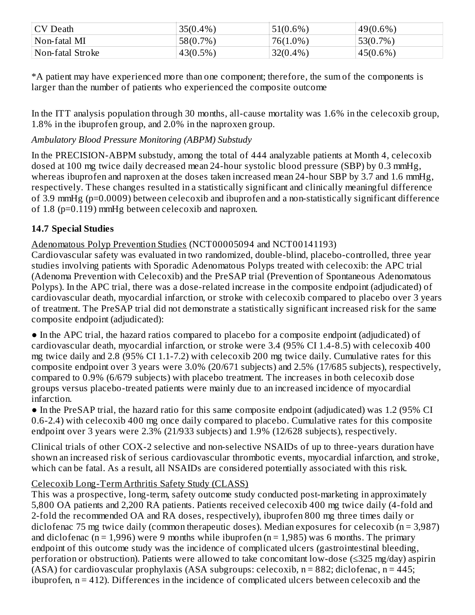| CV Death         | $35(0.4\%)$ | $51(0.6\%)$ | $49(0.6\%)$ |
|------------------|-------------|-------------|-------------|
| Non-fatal MI     | 58(0.7%)    | 76(1.0%)    | 53(0.7%)    |
| Non-fatal Stroke | $43(0.5\%)$ | $32(0.4\%)$ | $45(0.6\%)$ |

\*A patient may have experienced more than one component; therefore, the sum of the components is larger than the number of patients who experienced the composite outcome

In the ITT analysis population through 30 months, all-cause mortality was 1.6% in the celecoxib group, 1.8% in the ibuprofen group, and 2.0% in the naproxen group.

#### *Ambulatory Blood Pressure Monitoring (ABPM) Substudy*

In the PRECISION-ABPM substudy, among the total of 444 analyzable patients at Month 4, celecoxib dosed at 100 mg twice daily decreased mean 24-hour systolic blood pressure (SBP) by 0.3 mmHg, whereas ibuprofen and naproxen at the doses taken increased mean 24-hour SBP by 3.7 and 1.6 mmHg, respectively. These changes resulted in a statistically significant and clinically meaningful difference of 3.9 mmHg (p=0.0009) between celecoxib and ibuprofen and a non-statistically significant difference of 1.8 (p=0.119) mmHg between celecoxib and naproxen.

# **14.7 Special Studies**

Adenomatous Polyp Prevention Studies (NCT00005094 and NCT00141193)

Cardiovascular safety was evaluated in two randomized, double-blind, placebo-controlled, three year studies involving patients with Sporadic Adenomatous Polyps treated with celecoxib: the APC trial (Adenoma Prevention with Celecoxib) and the PreSAP trial (Prevention of Spontaneous Adenomatous Polyps). In the APC trial, there was a dose-related increase in the composite endpoint (adjudicated) of cardiovascular death, myocardial infarction, or stroke with celecoxib compared to placebo over 3 years of treatment. The PreSAP trial did not demonstrate a statistically significant increased risk for the same composite endpoint (adjudicated):

● In the APC trial, the hazard ratios compared to placebo for a composite endpoint (adjudicated) of cardiovascular death, myocardial infarction, or stroke were 3.4 (95% CI 1.4-8.5) with celecoxib 400 mg twice daily and 2.8 (95% CI 1.1-7.2) with celecoxib 200 mg twice daily. Cumulative rates for this composite endpoint over 3 years were 3.0% (20/671 subjects) and 2.5% (17/685 subjects), respectively, compared to 0.9% (6/679 subjects) with placebo treatment. The increases in both celecoxib dose groups versus placebo-treated patients were mainly due to an increased incidence of myocardial infarction.

● In the PreSAP trial, the hazard ratio for this same composite endpoint (adjudicated) was 1.2 (95% CI 0.6-2.4) with celecoxib 400 mg once daily compared to placebo. Cumulative rates for this composite endpoint over 3 years were 2.3% (21/933 subjects) and 1.9% (12/628 subjects), respectively.

Clinical trials of other COX-2 selective and non-selective NSAIDs of up to three-years duration have shown an increased risk of serious cardiovascular thrombotic events, myocardial infarction, and stroke, which can be fatal. As a result, all NSAIDs are considered potentially associated with this risk.

# Celecoxib Long-Term Arthritis Safety Study (CLASS)

This was a prospective, long-term, safety outcome study conducted post-marketing in approximately 5,800 OA patients and 2,200 RA patients. Patients received celecoxib 400 mg twice daily (4-fold and 2-fold the recommended OA and RA doses, respectively), ibuprofen 800 mg three times daily or diclofenac 75 mg twice daily (common therapeutic doses). Median exposures for celecoxib (n = 3,987) and diclofenac ( $n = 1,996$ ) were 9 months while ibuprofen ( $n = 1,985$ ) was 6 months. The primary endpoint of this outcome study was the incidence of complicated ulcers (gastrointestinal bleeding, perforation or obstruction). Patients were allowed to take concomitant low-dose (≤325 mg/day) aspirin (ASA) for cardiovascular prophylaxis (ASA subgroups: celecoxib,  $n = 882$ ; diclofenac,  $n = 445$ ; ibuprofen, n = 412). Differences in the incidence of complicated ulcers between celecoxib and the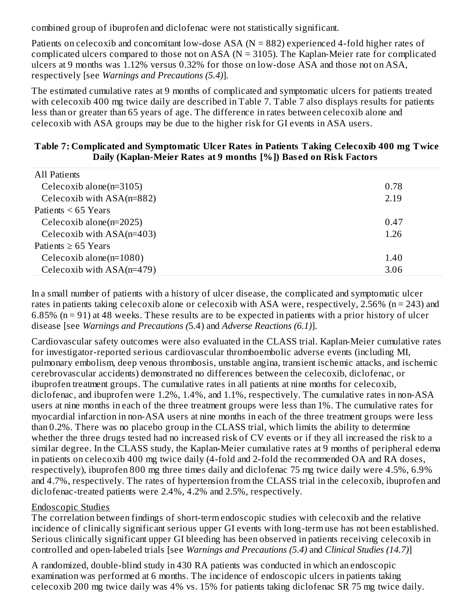combined group of ibuprofen and diclofenac were not statistically significant.

Patients on celecoxib and concomitant low-dose ASA ( $N = 882$ ) experienced 4-fold higher rates of complicated ulcers compared to those not on ASA ( $N = 3105$ ). The Kaplan-Meier rate for complicated ulcers at 9 months was 1.12% versus 0.32% for those on low-dose ASA and those not on ASA, respectively [see *Warnings and Precautions (5.4)*].

The estimated cumulative rates at 9 months of complicated and symptomatic ulcers for patients treated with celecoxib 400 mg twice daily are described in Table 7. Table 7 also displays results for patients less than or greater than 65 years of age. The difference in rates between celecoxib alone and celecoxib with ASA groups may be due to the higher risk for GI events in ASA users.

| Table 7: Complicated and Symptomatic Ulcer Rates in Patients Taking Celecoxib 400 mg Twice |
|--------------------------------------------------------------------------------------------|
| Daily (Kaplan-Meier Rates at 9 months [%]) Based on Risk Factors                           |

| All Patients                |      |
|-----------------------------|------|
| Celecoxib alone( $n=3105$ ) | 0.78 |
| Celecoxib with ASA(n=882)   | 2.19 |
| Patients $< 65$ Years       |      |
| Celecoxib alone( $n=2025$ ) | 0.47 |
| Celecoxib with $ASA(n=403)$ | 1.26 |
| Patients $\geq 65$ Years    |      |
| Celecoxib alone $(n=1080)$  | 1.40 |
| Celecoxib with ASA(n=479)   | 3.06 |

In a small number of patients with a history of ulcer disease, the complicated and symptomatic ulcer rates in patients taking celecoxib alone or celecoxib with ASA were, respectively, 2.56% (n = 243) and 6.85% (n = 91) at 48 weeks. These results are to be expected in patients with a prior history of ulcer disease [see *Warnings and Precautions (*5.4) and *Adverse Reactions (6.1)*].

Cardiovascular safety outcomes were also evaluated in the CLASS trial. Kaplan-Meier cumulative rates for investigator-reported serious cardiovascular thromboembolic adverse events (including MI, pulmonary embolism, deep venous thrombosis, unstable angina, transient ischemic attacks, and ischemic cerebrovascular accidents) demonstrated no differences between the celecoxib, diclofenac, or ibuprofen treatment groups. The cumulative rates in all patients at nine months for celecoxib, diclofenac, and ibuprofen were 1.2%, 1.4%, and 1.1%, respectively. The cumulative rates in non-ASA users at nine months in each of the three treatment groups were less than 1%. The cumulative rates for myocardial infarction in non-ASA users at nine months in each of the three treatment groups were less than 0.2%. There was no placebo group in the CLASS trial, which limits the ability to determine whether the three drugs tested had no increased risk of CV events or if they all increased the risk to a similar degree. In the CLASS study, the Kaplan-Meier cumulative rates at 9 months of peripheral edema in patients on celecoxib 400 mg twice daily (4-fold and 2-fold the recommended OA and RA doses, respectively), ibuprofen 800 mg three times daily and diclofenac 75 mg twice daily were 4.5%, 6.9% and 4.7%, respectively. The rates of hypertension from the CLASS trial in the celecoxib, ibuprofen and diclofenac-treated patients were 2.4%, 4.2% and 2.5%, respectively.

#### Endoscopic Studies

The correlation between findings of short-term endoscopic studies with celecoxib and the relative incidence of clinically significant serious upper GI events with long-term use has not been established. Serious clinically significant upper GI bleeding has been observed in patients receiving celecoxib in controlled and open-labeled trials [see *Warnings and Precautions (5.4)* and *Clinical Studies (14.7)*]

A randomized, double-blind study in 430 RA patients was conducted in which an endoscopic examination was performed at 6 months. The incidence of endoscopic ulcers in patients taking celecoxib 200 mg twice daily was 4% vs. 15% for patients taking diclofenac SR 75 mg twice daily.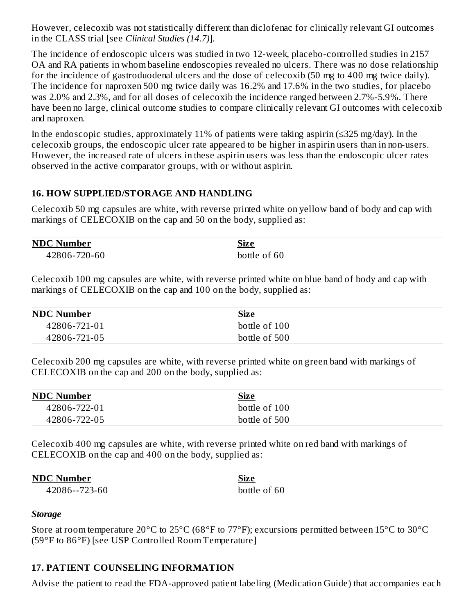However, celecoxib was not statistically different than diclofenac for clinically relevant GI outcomes in the CLASS trial [see *Clinical Studies (14.7)*].

The incidence of endoscopic ulcers was studied in two 12-week, placebo-controlled studies in 2157 OA and RA patients in whom baseline endoscopies revealed no ulcers. There was no dose relationship for the incidence of gastroduodenal ulcers and the dose of celecoxib (50 mg to 400 mg twice daily). The incidence for naproxen 500 mg twice daily was 16.2% and 17.6% in the two studies, for placebo was 2.0% and 2.3%, and for all doses of celecoxib the incidence ranged between 2.7%-5.9%. There have been no large, clinical outcome studies to compare clinically relevant GI outcomes with celecoxib and naproxen.

In the endoscopic studies, approximately 11% of patients were taking aspirin (≤325 mg/day). In the celecoxib groups, the endoscopic ulcer rate appeared to be higher in aspirin users than in non-users. However, the increased rate of ulcers in these aspirin users was less than the endoscopic ulcer rates observed in the active comparator groups, with or without aspirin.

#### **16. HOW SUPPLIED/STORAGE AND HANDLING**

Celecoxib 50 mg capsules are white, with reverse printed white on yellow band of body and cap with markings of CELECOXIB on the cap and 50 on the body, supplied as:

| <b>NDC Number</b> | <b>Size</b>  |
|-------------------|--------------|
| 42806-720-60      | bottle of 60 |

Celecoxib 100 mg capsules are white, with reverse printed white on blue band of body and cap with markings of CELECOXIB on the cap and 100 on the body, supplied as:

| <b>NDC Number</b> | <b>Size</b>   |  |
|-------------------|---------------|--|
| 42806-721-01      | bottle of 100 |  |
| 42806-721-05      | bottle of 500 |  |

Celecoxib 200 mg capsules are white, with reverse printed white on green band with markings of CELECOXIB on the cap and 200 on the body, supplied as:

| <b>NDC Number</b> | <u>Size</u>   |  |
|-------------------|---------------|--|
| 42806-722-01      | bottle of 100 |  |
| 42806-722-05      | bottle of 500 |  |

Celecoxib 400 mg capsules are white, with reverse printed white on red band with markings of CELECOXIB on the cap and 400 on the body, supplied as:

| <b>NDC Number</b>     | <b>Size</b>     |
|-----------------------|-----------------|
| 300C<br>3-60<br>186-- | 60<br>bottle of |

#### *Storage*

Store at room temperature 20°C to 25°C (68°F to 77°F); excursions permitted between 15°C to 30°C (59°F to 86°F) [see USP Controlled Room Temperature]

# **17. PATIENT COUNSELING INFORMATION**

Advise the patient to read the FDA-approved patient labeling (Medication Guide) that accompanies each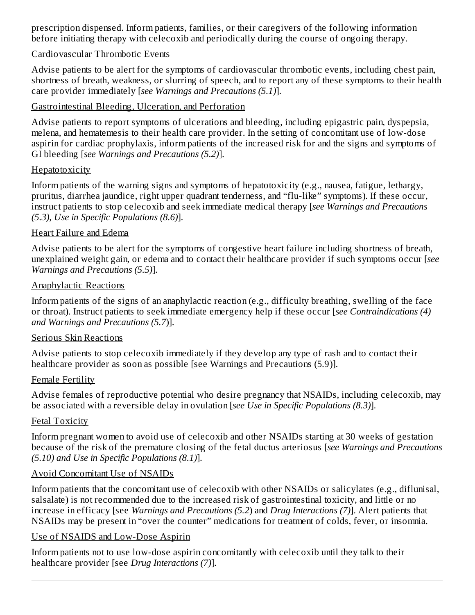prescription dispensed. Inform patients, families, or their caregivers of the following information before initiating therapy with celecoxib and periodically during the course of ongoing therapy.

#### Cardiovascular Thrombotic Events

Advise patients to be alert for the symptoms of cardiovascular thrombotic events, including chest pain, shortness of breath, weakness, or slurring of speech, and to report any of these symptoms to their health care provider immediately [*see Warnings and Precautions (5.1)*].

#### Gastrointestinal Bleeding, Ulceration, and Perforation

Advise patients to report symptoms of ulcerations and bleeding, including epigastric pain, dyspepsia, melena, and hematemesis to their health care provider. In the setting of concomitant use of low-dose aspirin for cardiac prophylaxis, inform patients of the increased risk for and the signs and symptoms of GI bleeding [*see Warnings and Precautions (5.2)*].

#### **Hepatotoxicity**

Inform patients of the warning signs and symptoms of hepatotoxicity (e.g., nausea, fatigue, lethargy, pruritus, diarrhea jaundice, right upper quadrant tenderness, and "flu-like" symptoms). If these occur, instruct patients to stop celecoxib and seek immediate medical therapy [*see Warnings and Precautions (5.3), Use in Specific Populations (8.6)*].

#### Heart Failure and Edema

Advise patients to be alert for the symptoms of congestive heart failure including shortness of breath, unexplained weight gain, or edema and to contact their healthcare provider if such symptoms occur [*see Warnings and Precautions (5.5)*].

#### Anaphylactic Reactions

Inform patients of the signs of an anaphylactic reaction (e.g., difficulty breathing, swelling of the face or throat). Instruct patients to seek immediate emergency help if these occur [*see Contraindications (4) and Warnings and Precautions (5.7*)].

#### Serious Skin Reactions

Advise patients to stop celecoxib immediately if they develop any type of rash and to contact their healthcare provider as soon as possible [see Warnings and Precautions (5.9)].

#### Female Fertility

Advise females of reproductive potential who desire pregnancy that NSAIDs, including celecoxib, may be associated with a reversible delay in ovulation [*see Use in Specific Populations (8.3)*].

#### Fetal Toxicity

Inform pregnant women to avoid use of celecoxib and other NSAIDs starting at 30 weeks of gestation because of the risk of the premature closing of the fetal ductus arteriosus [*see Warnings and Precautions (5.10) and Use in Specific Populations (8.1)*].

#### Avoid Concomitant Use of NSAIDs

Inform patients that the concomitant use of celecoxib with other NSAIDs or salicylates (e.g., diflunisal, salsalate) is not recommended due to the increased risk of gastrointestinal toxicity, and little or no increase in efficacy [see *Warnings and Precautions (5.2*) and *Drug Interactions (7)*]. Alert patients that NSAIDs may be present in "over the counter" medications for treatment of colds, fever, or insomnia.

#### Use of NSAIDS and Low-Dose Aspirin

Inform patients not to use low-dose aspirin concomitantly with celecoxib until they talk to their healthcare provider [see *Drug Interactions (7)*].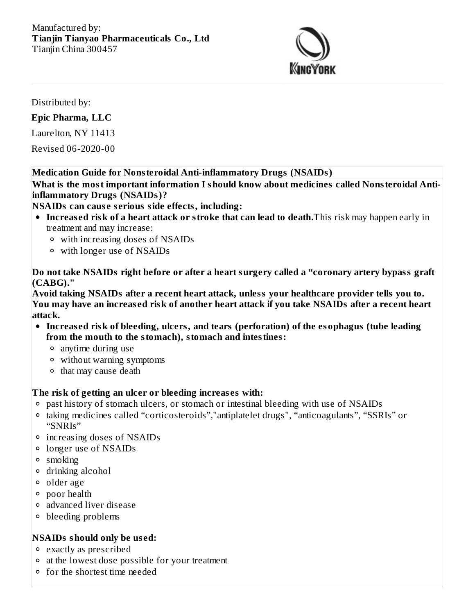Kung¥ork

Distributed by:

#### **Epic Pharma, LLC**

Laurelton, NY 11413

Revised 06-2020-00

**Medication Guide for Nonsteroidal Anti-inflammatory Drugs (NSAIDs)**

**What is the most important information I should know about medicines called Nonsteroidal Antiinflammatory Drugs (NSAIDs)?**

**NSAIDs can caus e s erious side effects, including:**

- **Increas ed risk of a heart attack or stroke that can lead to death.**This risk may happen early in treatment and may increase:
	- with increasing doses of NSAIDs
	- with longer use of NSAIDs

**Do not take NSAIDs right before or after a heart surgery called a "coronary artery bypass graft (CABG)."**

**Avoid taking NSAIDs after a recent heart attack, unless your healthcare provider tells you to.** You may have an increased risk of another heart attack if you take NSAIDs after a recent heart **attack.**

- **Increas ed risk of bleeding, ulcers, and tears (perforation) of the esophagus (tube leading from the mouth to the stomach), stomach and intestines:**
	- anytime during use
	- without warning symptoms
	- <sup>o</sup> that may cause death

# **The risk of getting an ulcer or bleeding increas es with:**

- past history of stomach ulcers, or stomach or intestinal bleeding with use of NSAIDs
- taking medicines called "corticosteroids","antiplatelet drugs", "anticoagulants", "SSRIs" or "SNRIs"
- increasing doses of NSAIDs
- longer use of NSAIDs
- smoking
- drinking alcohol
- older age
- poor health
- advanced liver disease
- bleeding problems

# **NSAIDs should only be us ed:**

- exactly as prescribed
- at the lowest dose possible for your treatment
- for the shortest time needed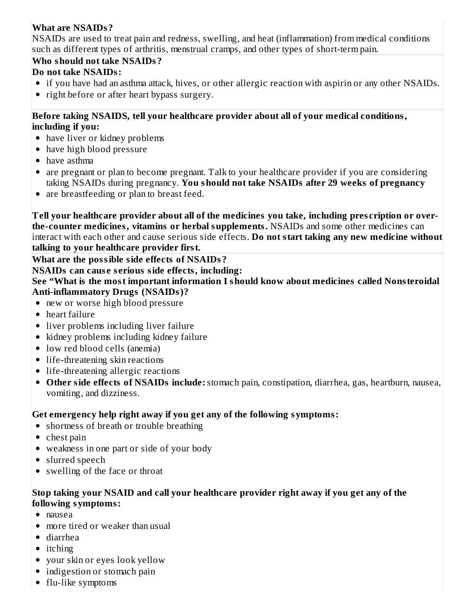# **What are NSAIDs?**

NSAIDs are used to treat pain and redness, swelling, and heat (inflammation) from medical conditions such as different types of arthritis, menstrual cramps, and other types of short-term pain.

# **Who should not take NSAIDs?**

# **Do not take NSAIDs:**

- if you have had an asthma attack, hives, or other allergic reaction with aspirin or any other NSAIDs.
- right before or after heart bypass surgery.

#### **Before taking NSAIDS, tell your healthcare provider about all of your medical conditions, including if you:**

- have liver or kidney problems
- have high blood pressure
- have asthma
- are pregnant or plan to become pregnant. Talk to your healthcare provider if you are considering taking NSAIDs during pregnancy. **You should not take NSAIDs after 29 weeks of pregnancy**
- are breastfeeding or plan to breast feed.

**Tell your healthcare provider about all of the medicines you take, including pres cription or overthe-counter medicines, vitamins or herbal supplements.** NSAIDs and some other medicines can interact with each other and cause serious side effects. **Do not start taking any new medicine without talking to your healthcare provider first.**

# **What are the possible side effects of NSAIDs?**

# **NSAIDs can caus e s erious side effects, including:**

**See "What is the most important information I should know about medicines called Nonsteroidal Anti-inflammatory Drugs (NSAIDs)?**

- new or worse high blood pressure
- heart failure
- liver problems including liver failure
- kidney problems including kidney failure
- low red blood cells (anemia)
- life-threatening skin reactions
- life-threatening allergic reactions
- **Other side effects of NSAIDs include:**stomach pain, constipation, diarrhea, gas, heartburn, nausea, vomiting, and dizziness.

# **Get emergency help right away if you get any of the following symptoms:**

- shortness of breath or trouble breathing
- chest pain
- weakness in one part or side of your body
- slurred speech
- swelling of the face or throat

# **Stop taking your NSAID and call your healthcare provider right away if you get any of the following symptoms:**

- nausea
- more tired or weaker than usual
- diarrhea
- $\bullet$  itching
- your skin or eyes look yellow
- indigestion or stomach pain
- flu-like symptoms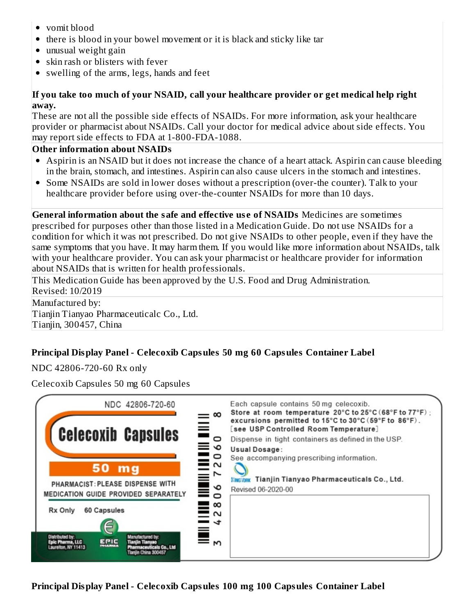- vomit blood
- there is blood in your bowel movement or it is black and sticky like tar
- unusual weight gain
- skin rash or blisters with fever
- swelling of the arms, legs, hands and feet

#### **If you take too much of your NSAID, call your healthcare provider or get medical help right away.**

These are not all the possible side effects of NSAIDs. For more information, ask your healthcare provider or pharmacist about NSAIDs. Call your doctor for medical advice about side effects. You may report side effects to FDA at 1-800-FDA-1088.

#### **Other information about NSAIDs**

- Aspirin is an NSAID but it does not increase the chance of a heart attack. Aspirin can cause bleeding in the brain, stomach, and intestines. Aspirin can also cause ulcers in the stomach and intestines.
- Some NSAIDs are sold in lower doses without a prescription (over-the counter). Talk to your healthcare provider before using over-the-counter NSAIDs for more than 10 days.

**General information about the safe and effective us e of NSAIDs** Medicines are sometimes prescribed for purposes other than those listed in a Medication Guide. Do not use NSAIDs for a condition for which it was not prescribed. Do not give NSAIDs to other people, even if they have the same symptoms that you have. It may harm them. If you would like more information about NSAIDs, talk with your healthcare provider. You can ask your pharmacist or healthcare provider for information about NSAIDs that is written for health professionals.

This Medication Guide has been approved by the U.S. Food and Drug Administration. Revised: 10/2019

Manufactured by: Tianjin Tianyao Pharmaceuticalc Co., Ltd. Tianjin, 300457, China

# **Principal Display Panel - Celecoxib Capsules 50 mg 60 Capsules Container Label**

NDC 42806-720-60 Rx only

Celecoxib Capsules 50 mg 60 Capsules

| NDC 42806-720-60<br><b>Celecoxib Capsules</b>                                                                                                                                                                                         | $\infty$<br><b>LILE</b>                 | Each capsule contains 50 mg celecoxib.<br>Store at room temperature 20°C to 25°C (68°F to 77°F);<br>excursions permitted to 15°C to 30°C (59°F to 86°F).<br>see USP Controlled Room Temperature]<br>Dispense in tight containers as defined in the USP.<br>Usual Dosage: |
|---------------------------------------------------------------------------------------------------------------------------------------------------------------------------------------------------------------------------------------|-----------------------------------------|--------------------------------------------------------------------------------------------------------------------------------------------------------------------------------------------------------------------------------------------------------------------------|
| 50<br>mg<br>PHARMACIST: PLEASE DISPENSE WITH<br><b>MEDICATION GUIDE PROVIDED SEPARATELY</b>                                                                                                                                           | III<br>Is                               | See accompanying prescribing information.<br>Tianjin Tianyao Pharmaceuticals Co., Ltd.<br><b>KING YORK</b><br>Revised 06-2020-00                                                                                                                                         |
| <b>60 Capsules</b><br>Rx Only<br><b>Distributed by:</b><br>Manufactured by:<br><b>EPIC</b><br><b>Epic Pharma, LLC</b><br><b>Tianjin Tianvao</b><br>MIARMA<br>Pharmaceuticals Co., Ltd.<br>Laurelton, NY 11413<br>Tianiin China 300457 | $\infty$<br>$\sim$<br>ෑ<br><sub>N</sub> |                                                                                                                                                                                                                                                                          |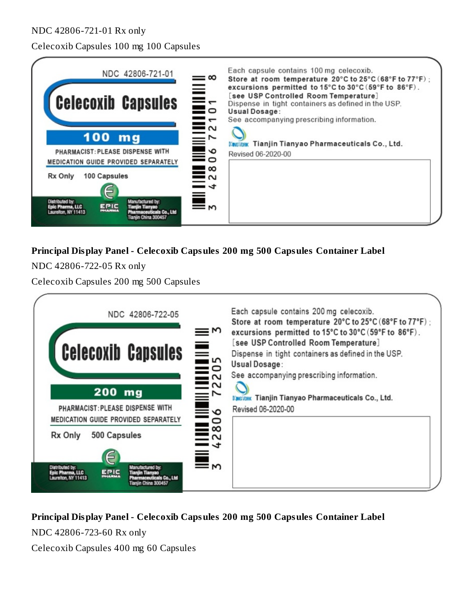Celecoxib Capsules 100 mg 100 Capsules



# **Principal Display Panel - Celecoxib Capsules 200 mg 500 Capsules Container Label**

NDC 42806-722-05 Rx only

Celecoxib Capsules 200 mg 500 Capsules



# **Principal Display Panel - Celecoxib Capsules 200 mg 500 Capsules Container Label**

NDC 42806-723-60 Rx only

Celecoxib Capsules 400 mg 60 Capsules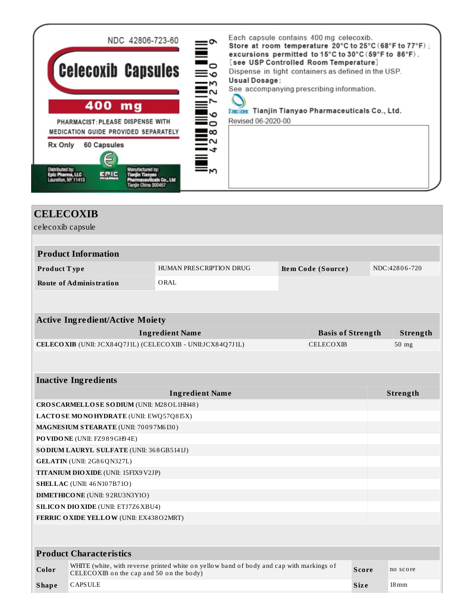

| <b>CELECOXIB</b>                                                  |                                                 |                                                                                          |  |                          |              |                    |  |  |  |
|-------------------------------------------------------------------|-------------------------------------------------|------------------------------------------------------------------------------------------|--|--------------------------|--------------|--------------------|--|--|--|
| celecoxib capsule                                                 |                                                 |                                                                                          |  |                          |              |                    |  |  |  |
|                                                                   |                                                 |                                                                                          |  |                          |              |                    |  |  |  |
|                                                                   | <b>Product Information</b>                      |                                                                                          |  |                          |              |                    |  |  |  |
| Product Type                                                      |                                                 | HUMAN PRESCRIPTION DRUG                                                                  |  | Item Code (Source)       |              | NDC:42806-720      |  |  |  |
|                                                                   | <b>Route of Administration</b>                  | ORAL                                                                                     |  |                          |              |                    |  |  |  |
|                                                                   |                                                 |                                                                                          |  |                          |              |                    |  |  |  |
|                                                                   |                                                 |                                                                                          |  |                          |              |                    |  |  |  |
|                                                                   | <b>Active Ingredient/Active Moiety</b>          |                                                                                          |  |                          |              |                    |  |  |  |
|                                                                   |                                                 | <b>Ingredient Name</b>                                                                   |  | <b>Basis of Strength</b> |              | Strength           |  |  |  |
|                                                                   |                                                 | CELECOXIB (UNII: JCX84Q7J1L) (CELECOXIB - UNII:JCX84Q7J1L)                               |  | <b>CELECOXIB</b>         |              | $50$ mg            |  |  |  |
|                                                                   |                                                 |                                                                                          |  |                          |              |                    |  |  |  |
|                                                                   |                                                 |                                                                                          |  |                          |              |                    |  |  |  |
| <b>Inactive Ingredients</b><br><b>Ingredient Name</b><br>Strength |                                                 |                                                                                          |  |                          |              |                    |  |  |  |
|                                                                   | CROSCARMELLOSE SODIUM (UNII: M28OL1HH48)        |                                                                                          |  |                          |              |                    |  |  |  |
| LACTOSE MONOHYDRATE (UNII: EWQ57Q8I5X)                            |                                                 |                                                                                          |  |                          |              |                    |  |  |  |
|                                                                   | MAGNESIUM STEARATE (UNII: 70097M6I30)           |                                                                                          |  |                          |              |                    |  |  |  |
|                                                                   | <b>PO VIDO NE</b> (UNII: FZ989GH94E)            |                                                                                          |  |                          |              |                    |  |  |  |
|                                                                   | <b>SODIUM LAURYL SULFATE (UNII: 368GB5141J)</b> |                                                                                          |  |                          |              |                    |  |  |  |
|                                                                   | <b>GELATIN</b> (UNII: 2G86QN327L)               |                                                                                          |  |                          |              |                    |  |  |  |
|                                                                   | <b>TITANIUM DIO XIDE</b> (UNII: 15FIX9 V2JP)    |                                                                                          |  |                          |              |                    |  |  |  |
|                                                                   | <b>SHELLAC</b> (UNII: 46 N107B71O)              |                                                                                          |  |                          |              |                    |  |  |  |
|                                                                   | <b>DIMETHICONE</b> (UNII: 92RU3N3Y1O)           |                                                                                          |  |                          |              |                    |  |  |  |
|                                                                   | <b>SILICON DIO XIDE (UNII: ETJ7Z6 XBU4)</b>     |                                                                                          |  |                          |              |                    |  |  |  |
|                                                                   | <b>FERRIC OXIDE YELLOW (UNII: EX438O2MRT)</b>   |                                                                                          |  |                          |              |                    |  |  |  |
|                                                                   |                                                 |                                                                                          |  |                          |              |                    |  |  |  |
|                                                                   |                                                 |                                                                                          |  |                          |              |                    |  |  |  |
|                                                                   | <b>Product Characteristics</b>                  |                                                                                          |  |                          |              |                    |  |  |  |
| Color                                                             | $CELECOXIB$ on the cap and 50 on the body)      | WHITE (white, with reverse printed white on yellow band of body and cap with markings of |  |                          | <b>Score</b> | no score           |  |  |  |
| <b>Shape</b>                                                      | <b>CAPSULE</b>                                  |                                                                                          |  |                          | <b>Size</b>  | $18 \,\mathrm{mm}$ |  |  |  |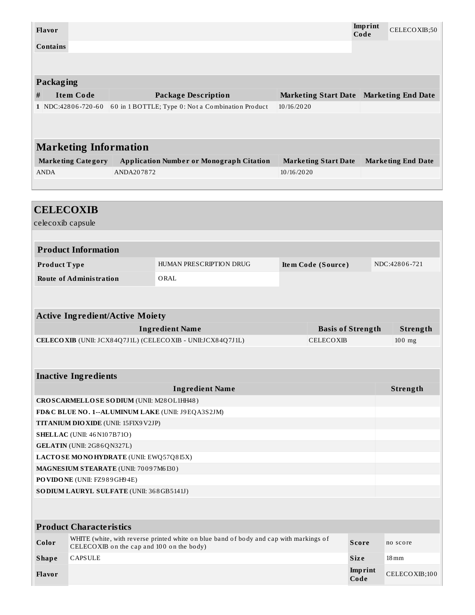|                              | Flavor                                                                                                                                   |            |                                                   |                             | Imprint<br>Code | CELECOXIB;50              |  |
|------------------------------|------------------------------------------------------------------------------------------------------------------------------------------|------------|---------------------------------------------------|-----------------------------|-----------------|---------------------------|--|
|                              | <b>Contains</b>                                                                                                                          |            |                                                   |                             |                 |                           |  |
|                              |                                                                                                                                          |            |                                                   |                             |                 |                           |  |
|                              | Packaging                                                                                                                                |            |                                                   |                             |                 |                           |  |
| #                            | <b>Item Code</b>                                                                                                                         |            | <b>Package Description</b>                        | <b>Marketing Start Date</b> |                 | <b>Marketing End Date</b> |  |
|                              | 1 NDC:42806-720-60                                                                                                                       |            | 60 in 1 BOTTLE; Type 0: Not a Combination Product | 10/16/2020                  |                 |                           |  |
|                              |                                                                                                                                          |            |                                                   |                             |                 |                           |  |
| <b>Marketing Information</b> |                                                                                                                                          |            |                                                   |                             |                 |                           |  |
|                              | <b>Marketing Category</b><br><b>Application Number or Monograph Citation</b><br><b>Marketing End Date</b><br><b>Marketing Start Date</b> |            |                                                   |                             |                 |                           |  |
|                              |                                                                                                                                          |            |                                                   |                             |                 |                           |  |
|                              | <b>ANDA</b>                                                                                                                              | ANDA207872 |                                                   | 10/16/2020                  |                 |                           |  |
|                              |                                                                                                                                          |            |                                                   |                             |                 |                           |  |
|                              |                                                                                                                                          |            |                                                   |                             |                 |                           |  |
|                              | <b>CELECOXIB</b>                                                                                                                         |            |                                                   |                             |                 |                           |  |
|                              | celecoxib capsule                                                                                                                        |            |                                                   |                             |                 |                           |  |
|                              |                                                                                                                                          |            |                                                   |                             |                 |                           |  |
|                              | <b>Product Information</b>                                                                                                               |            |                                                   |                             |                 |                           |  |
|                              | Product Type                                                                                                                             |            | HUMAN PRESCRIPTION DRUG                           | Item Code (Source)          |                 | NDC:42806-721             |  |

| <b>Active Ingredient/Active Moiety</b>                      |                          |          |  |  |  |
|-------------------------------------------------------------|--------------------------|----------|--|--|--|
| Ingredient Name                                             | <b>Basis of Strength</b> | Strength |  |  |  |
| CELECOXIB (UNII: JCX84Q7J1L) (CELECOXIB - UNII: JCX84Q7J1L) | CELECOXIB                | $100$ mg |  |  |  |

#### **Inactive Ingredients**

|                                          |                                                   | <b>Strength</b> |                    |  |  |  |
|------------------------------------------|---------------------------------------------------|-----------------|--------------------|--|--|--|
|                                          | CROSCARMELLOSE SODIUM (UNII: M28OL1HH48)          |                 |                    |  |  |  |
|                                          | FD&C BLUE NO. 1--ALUMINUM LAKE (UNII: J9EQA3S2JM) |                 |                    |  |  |  |
|                                          | <b>TITANIUM DIO XIDE</b> (UNII: 15FIX9 V2JP)      |                 |                    |  |  |  |
|                                          | <b>SHELLAC</b> (UNII: 46 N107B71O)                |                 |                    |  |  |  |
|                                          | <b>GELATIN</b> (UNII: 2G86QN327L)                 |                 |                    |  |  |  |
|                                          | LACTOSE MONOHYDRATE (UNII: EWQ57Q8I5X)            |                 |                    |  |  |  |
| MAGNESIUM STEARATE (UNII: 70097M6I30)    |                                                   |                 |                    |  |  |  |
|                                          | PO VIDONE (UNII: FZ989GH94E)                      |                 |                    |  |  |  |
| SODIUM LAURYL SULFATE (UNII: 368GB5141J) |                                                   |                 |                    |  |  |  |
|                                          |                                                   |                 |                    |  |  |  |
|                                          |                                                   |                 |                    |  |  |  |
|                                          | <b>Product Characteristics</b>                    |                 |                    |  |  |  |
| Color                                    | <b>Score</b>                                      | no score        |                    |  |  |  |
| <b>Shape</b>                             | <b>CAPSULE</b>                                    | <b>Size</b>     | $18 \,\mathrm{mm}$ |  |  |  |
| <b>Flavor</b>                            |                                                   | Imprint<br>Code | CELECOXIB;100      |  |  |  |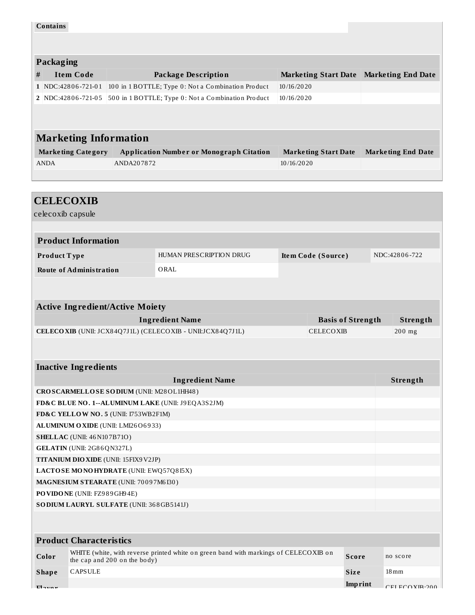|                              | <b>Contains</b>           |                                                    |                             |                           |  |  |  |  |
|------------------------------|---------------------------|----------------------------------------------------|-----------------------------|---------------------------|--|--|--|--|
|                              |                           |                                                    |                             |                           |  |  |  |  |
|                              | Packaging                 |                                                    |                             |                           |  |  |  |  |
| #                            | <b>Item Code</b>          | Package Description                                | <b>Marketing Start Date</b> | <b>Marketing End Date</b> |  |  |  |  |
|                              | $1$ NDC:42806-721-01      | 100 in 1 BOTTLE; Type 0: Not a Combination Product | 10/16/2020                  |                           |  |  |  |  |
|                              | 2 NDC:42806-721-05        | 500 in 1 BOTTLE; Type 0: Not a Combination Product | 10/16/2020                  |                           |  |  |  |  |
|                              |                           |                                                    |                             |                           |  |  |  |  |
|                              |                           |                                                    |                             |                           |  |  |  |  |
| <b>Marketing Information</b> |                           |                                                    |                             |                           |  |  |  |  |
|                              | <b>Marketing Category</b> | <b>Application Number or Monograph Citation</b>    | <b>Marketing Start Date</b> | <b>Marketing End Date</b> |  |  |  |  |
|                              | <b>ANDA</b>               | ANDA207872                                         | 10/16/2020                  |                           |  |  |  |  |

|                                                   | <b>CELECOXIB</b>                                           |                                                                                      |  |                    |                          |          |                    |
|---------------------------------------------------|------------------------------------------------------------|--------------------------------------------------------------------------------------|--|--------------------|--------------------------|----------|--------------------|
|                                                   | celecoxib capsule                                          |                                                                                      |  |                    |                          |          |                    |
|                                                   |                                                            |                                                                                      |  |                    |                          |          |                    |
|                                                   | <b>Product Information</b>                                 |                                                                                      |  |                    |                          |          |                    |
| Product Type                                      |                                                            | HUMAN PRESCRIPTION DRUG                                                              |  | Item Code (Source) |                          |          | NDC:42806-722      |
|                                                   |                                                            |                                                                                      |  |                    |                          |          |                    |
|                                                   | <b>Route of Administration</b>                             | ORAL                                                                                 |  |                    |                          |          |                    |
|                                                   |                                                            |                                                                                      |  |                    |                          |          |                    |
|                                                   | <b>Active Ingredient/Active Moiety</b>                     |                                                                                      |  |                    |                          |          |                    |
|                                                   |                                                            | <b>Ingredient Name</b>                                                               |  |                    | <b>Basis of Strength</b> |          | Strength           |
|                                                   | CELECOXIB (UNII: JCX84Q7J1L) (CELECOXIB - UNII:JCX84Q7J1L) |                                                                                      |  | <b>CELECOXIB</b>   |                          |          | 200 mg             |
|                                                   |                                                            |                                                                                      |  |                    |                          |          |                    |
|                                                   |                                                            |                                                                                      |  |                    |                          |          |                    |
|                                                   | <b>Inactive Ingredients</b>                                |                                                                                      |  |                    |                          |          |                    |
|                                                   |                                                            | <b>Ingredient Name</b>                                                               |  |                    |                          | Strength |                    |
| CROSCARMELLOSE SODIUM (UNII: M28OL1HH48)          |                                                            |                                                                                      |  |                    |                          |          |                    |
| FD&C BLUE NO. 1--ALUMINUM LAKE (UNII: J9EQA3S2JM) |                                                            |                                                                                      |  |                    |                          |          |                    |
| FD&C YELLOW NO. 5 (UNII: I753WB2F1M)              |                                                            |                                                                                      |  |                    |                          |          |                    |
| ALUMINUM OXIDE (UNII: LMI26O6933)                 |                                                            |                                                                                      |  |                    |                          |          |                    |
| <b>SHELLAC</b> (UNII: 46 N107B71O)                |                                                            |                                                                                      |  |                    |                          |          |                    |
|                                                   | GELATIN (UNII: 2G86QN327L)                                 |                                                                                      |  |                    |                          |          |                    |
|                                                   | <b>TITANIUM DIO XIDE</b> (UNII: 15FIX9 V2JP)               |                                                                                      |  |                    |                          |          |                    |
|                                                   | LACTOSE MONOHYDRATE (UNII: EWQ57Q8I5X)                     |                                                                                      |  |                    |                          |          |                    |
|                                                   | <b>MAGNESIUM STEARATE (UNII: 70097M6I30)</b>               |                                                                                      |  |                    |                          |          |                    |
|                                                   | PO VIDO NE (UNII: FZ989GH94E)                              |                                                                                      |  |                    |                          |          |                    |
| SODIUM LAURYL SULFATE (UNII: 368GB5141J)          |                                                            |                                                                                      |  |                    |                          |          |                    |
|                                                   |                                                            |                                                                                      |  |                    |                          |          |                    |
|                                                   |                                                            |                                                                                      |  |                    |                          |          |                    |
|                                                   | <b>Product Characteristics</b>                             |                                                                                      |  |                    |                          |          |                    |
| Color                                             | the cap and 200 on the body)                               | WHITE (white, with reverse printed white on green band with markings of CELECOXIB on |  |                    | <b>Score</b>             |          | no score           |
| <b>Shape</b>                                      | <b>CAPSULE</b>                                             |                                                                                      |  |                    | <b>Size</b>              |          | $18 \,\mathrm{mm}$ |
| Imprint<br>$\Gamma$ lavov                         |                                                            |                                                                                      |  | CET ECONR·200      |                          |          |                    |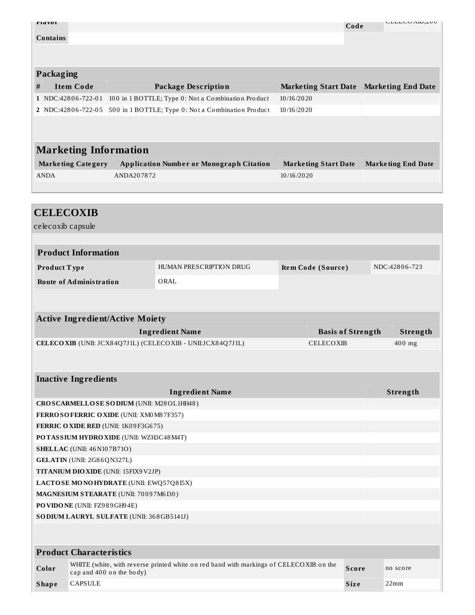| <b>FIGVUI</b>                             |            |                                                                       |                    | Code                        |                                      | ULLLUVAID, ZUU            |  |
|-------------------------------------------|------------|-----------------------------------------------------------------------|--------------------|-----------------------------|--------------------------------------|---------------------------|--|
| <b>Contains</b>                           |            |                                                                       |                    |                             |                                      |                           |  |
|                                           |            |                                                                       |                    |                             |                                      |                           |  |
|                                           |            |                                                                       |                    |                             |                                      |                           |  |
| <b>Packaging</b>                          |            |                                                                       |                    |                             |                                      |                           |  |
| <b>Item Code</b><br>#                     |            | <b>Package Description</b>                                            |                    | <b>Marketing Start Date</b> |                                      | <b>Marketing End Date</b> |  |
|                                           |            | 1 NDC:42806-722-01 100 in 1 BOTTLE; Type 0: Not a Combination Product | 10/16/2020         |                             |                                      |                           |  |
|                                           |            | 2 NDC:42806-722-05 500 in 1 BOTTLE; Type 0: Not a Combination Product | 10/16/2020         |                             |                                      |                           |  |
|                                           |            |                                                                       |                    |                             |                                      |                           |  |
|                                           |            |                                                                       |                    |                             |                                      |                           |  |
| <b>Marketing Information</b>              |            |                                                                       |                    |                             |                                      |                           |  |
| <b>Marketing Category</b>                 |            | <b>Application Number or Monograph Citation</b>                       |                    | <b>Marketing Start Date</b> |                                      | <b>Marketing End Date</b> |  |
| <b>ANDA</b>                               | ANDA207872 |                                                                       | 10/16/2020         |                             |                                      |                           |  |
|                                           |            |                                                                       |                    |                             |                                      |                           |  |
|                                           |            |                                                                       |                    |                             |                                      |                           |  |
| <b>CELECOXIB</b>                          |            |                                                                       |                    |                             |                                      |                           |  |
| celecoxib capsule                         |            |                                                                       |                    |                             |                                      |                           |  |
|                                           |            |                                                                       |                    |                             |                                      |                           |  |
|                                           |            |                                                                       |                    |                             |                                      |                           |  |
| <b>Product Information</b>                |            |                                                                       |                    |                             |                                      |                           |  |
| Product Type                              |            | HUMAN PRESCRIPTION DRUG                                               | Item Code (Source) |                             |                                      | NDC:42806-723             |  |
| <b>Route of Administration</b>            |            | ORAL                                                                  |                    |                             |                                      |                           |  |
|                                           |            |                                                                       |                    |                             |                                      |                           |  |
|                                           |            |                                                                       |                    |                             |                                      |                           |  |
| <b>Active Ingredient/Active Moiety</b>    |            |                                                                       |                    |                             |                                      |                           |  |
|                                           |            | <b>Ingredient Name</b>                                                |                    |                             | <b>Basis of Strength</b><br>Strength |                           |  |
|                                           |            | CELECOXIB (UNII: JCX84Q7J1L) (CELECOXIB - UNII:JCX84Q7J1L)            | <b>CELECOXIB</b>   |                             |                                      | 400 mg                    |  |
|                                           |            |                                                                       |                    |                             |                                      |                           |  |
|                                           |            |                                                                       |                    |                             |                                      |                           |  |
| <b>Inactive Ingredients</b>               |            |                                                                       |                    |                             |                                      |                           |  |
|                                           |            | <b>Ingredient Name</b>                                                |                    |                             |                                      | Strength                  |  |
| CROSCARMELLOSE SODIUM (UNII: M28OL1HH48)  |            |                                                                       |                    |                             |                                      |                           |  |
| FERROSOFERRIC OXIDE (UNII: XM0 M8 7F357)  |            |                                                                       |                    |                             |                                      |                           |  |
| FERRIC OXIDE RED (UNII: 1K09F3G675)       |            |                                                                       |                    |                             |                                      |                           |  |
| POTASSIUM HYDRO XIDE (UNII: WZH3C48M4T)   |            |                                                                       |                    |                             |                                      |                           |  |
| <b>SHELLAC</b> (UNII: 46 N107B71O)        |            |                                                                       |                    |                             |                                      |                           |  |
| GELATIN (UNII: 2G86QN327L)                |            |                                                                       |                    |                             |                                      |                           |  |
| TITANIUM DIO XIDE (UNII: 15FIX9V2JP)      |            |                                                                       |                    |                             |                                      |                           |  |
| LACTOSE MONOHYDRATE (UNII: EWQ57Q8I5X)    |            |                                                                       |                    |                             |                                      |                           |  |
| MAGNESIUM STEARATE (UNII: 70097M6I30)     |            |                                                                       |                    |                             |                                      |                           |  |
| <b>PO VIDO NE</b> (UNII: FZ989GH94E)      |            |                                                                       |                    |                             |                                      |                           |  |
| SO DIUM LAURYL SULFATE (UNII: 368GB5141J) |            |                                                                       |                    |                             |                                      |                           |  |
|                                           |            |                                                                       |                    |                             |                                      |                           |  |
|                                           |            |                                                                       |                    |                             |                                      |                           |  |

| <b>Product Characteristics</b> |                                                                                                                    |              |          |  |
|--------------------------------|--------------------------------------------------------------------------------------------------------------------|--------------|----------|--|
| Color                          | WHITE (white, with reverse printed white on red band with markings of CELECOXIB on the<br>cap and 400 on the body) | <b>Score</b> | no score |  |
| Shape                          | CAPSULE                                                                                                            | <b>Size</b>  | 22mm     |  |